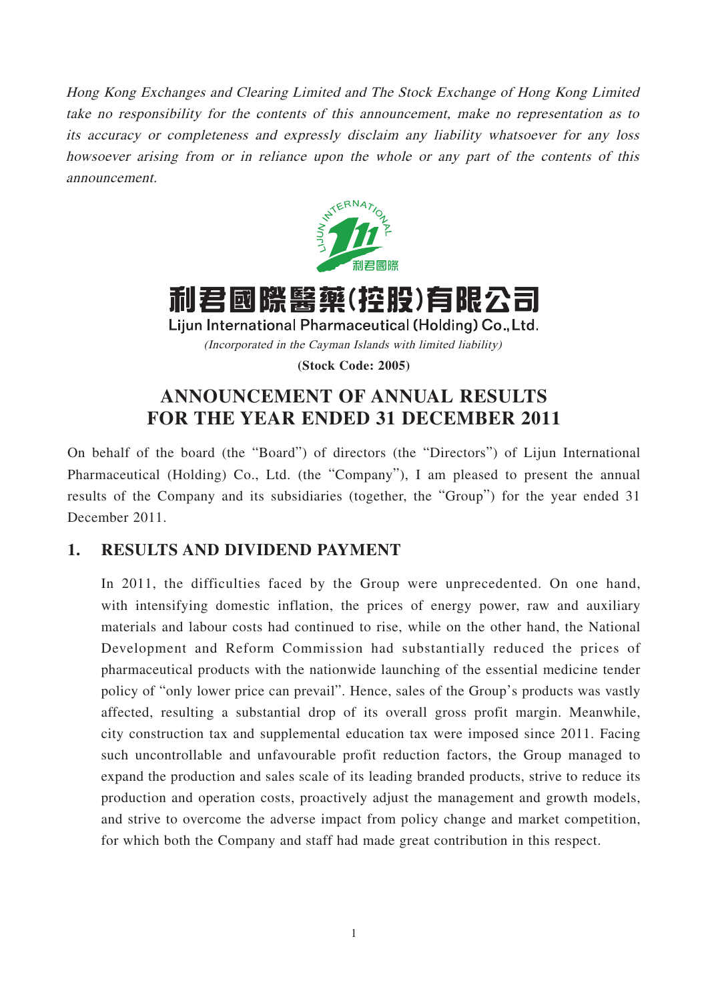Hong Kong Exchanges and Clearing Limited and The Stock Exchange of Hong Kong Limited take no responsibility for the contents of this announcement, make no representation as to its accuracy or completeness and expressly disclaim any liability whatsoever for any loss howsoever arising from or in reliance upon the whole or any part of the contents of this announcement.



# 利君國際醫藥(控股)有限公司

Lijun International Pharmaceutical (Holding) Co., Ltd. (Incorporated in the Cayman Islands with limited liability)

**(Stock Code: 2005)**

## **ANNOUNCEMENT OF ANNUAL RESULTS FOR THE YEAR ENDED 31 DECEMBER 2011**

On behalf of the board (the "Board") of directors (the "Directors") of Lijun International Pharmaceutical (Holding) Co., Ltd. (the "Company"), I am pleased to present the annual results of the Company and its subsidiaries (together, the "Group") for the year ended 31 December 2011.

## **1. RESULTS AND DIVIDEND PAYMENT**

In 2011, the difficulties faced by the Group were unprecedented. On one hand, with intensifying domestic inflation, the prices of energy power, raw and auxiliary materials and labour costs had continued to rise, while on the other hand, the National Development and Reform Commission had substantially reduced the prices of pharmaceutical products with the nationwide launching of the essential medicine tender policy of "only lower price can prevail". Hence, sales of the Group's products was vastly affected, resulting a substantial drop of its overall gross profit margin. Meanwhile, city construction tax and supplemental education tax were imposed since 2011. Facing such uncontrollable and unfavourable profit reduction factors, the Group managed to expand the production and sales scale of its leading branded products, strive to reduce its production and operation costs, proactively adjust the management and growth models, and strive to overcome the adverse impact from policy change and market competition, for which both the Company and staff had made great contribution in this respect.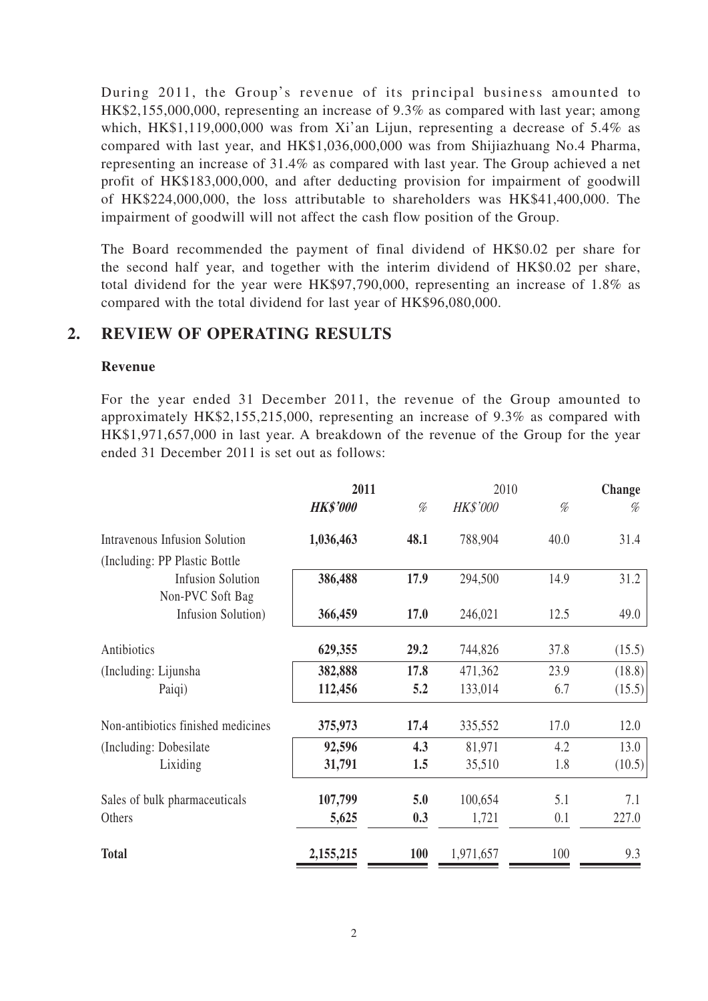During 2011, the Group's revenue of its principal business amounted to HK\$2,155,000,000, representing an increase of 9.3% as compared with last year; among which, HK\$1,119,000,000 was from Xi'an Lijun, representing a decrease of 5.4% as compared with last year, and HK\$1,036,000,000 was from Shijiazhuang No.4 Pharma, representing an increase of 31.4% as compared with last year. The Group achieved a net profit of HK\$183,000,000, and after deducting provision for impairment of goodwill of HK\$224,000,000, the loss attributable to shareholders was HK\$41,400,000. The impairment of goodwill will not affect the cash flow position of the Group.

The Board recommended the payment of final dividend of HK\$0.02 per share for the second half year, and together with the interim dividend of HK\$0.02 per share, total dividend for the year were HK\$97,790,000, representing an increase of 1.8% as compared with the total dividend for last year of HK\$96,080,000.

## **2. REVIEW OF OPERATING RESULTS**

### **Revenue**

For the year ended 31 December 2011, the revenue of the Group amounted to approximately HK\$2,155,215,000, representing an increase of 9.3% as compared with HK\$1,971,657,000 in last year. A breakdown of the revenue of the Group for the year ended 31 December 2011 is set out as follows:

|                                      | 2011            |            | 2010            |      | Change |  |
|--------------------------------------|-----------------|------------|-----------------|------|--------|--|
|                                      | <b>HK\$'000</b> | %          | <b>HK\$'000</b> | %    | %      |  |
| <b>Intravenous Infusion Solution</b> | 1,036,463       | 48.1       | 788,904         | 40.0 | 31.4   |  |
| (Including: PP Plastic Bottle)       |                 |            |                 |      |        |  |
| <b>Infusion Solution</b>             | 386,488         | 17.9       | 294,500         | 14.9 | 31.2   |  |
| Non-PVC Soft Bag                     |                 |            |                 |      |        |  |
| Infusion Solution)                   | 366,459         | 17.0       | 246,021         | 12.5 | 49.0   |  |
| Antibiotics                          | 629,355         | 29.2       | 744,826         | 37.8 | (15.5) |  |
| (Including: Lijunsha                 | 382,888         | 17.8       | 471,362         | 23.9 | (18.8) |  |
| Paiqi)                               | 112,456         | 5.2        | 133,014         | 6.7  | (15.5) |  |
| Non-antibiotics finished medicines   | 375,973         | 17.4       | 335,552         | 17.0 | 12.0   |  |
| (Including: Dobesilate)              | 92,596          | 4.3        | 81,971          | 4.2  | 13.0   |  |
| Lixiding                             | 31,791          | 1.5        | 35,510          | 1.8  | (10.5) |  |
| Sales of bulk pharmaceuticals        | 107,799         | 5.0        | 100,654         | 5.1  | 7.1    |  |
| Others                               | 5,625           | 0.3        | 1,721           | 0.1  | 227.0  |  |
| <b>Total</b>                         | 2,155,215       | <b>100</b> | 1,971,657       | 100  | 9.3    |  |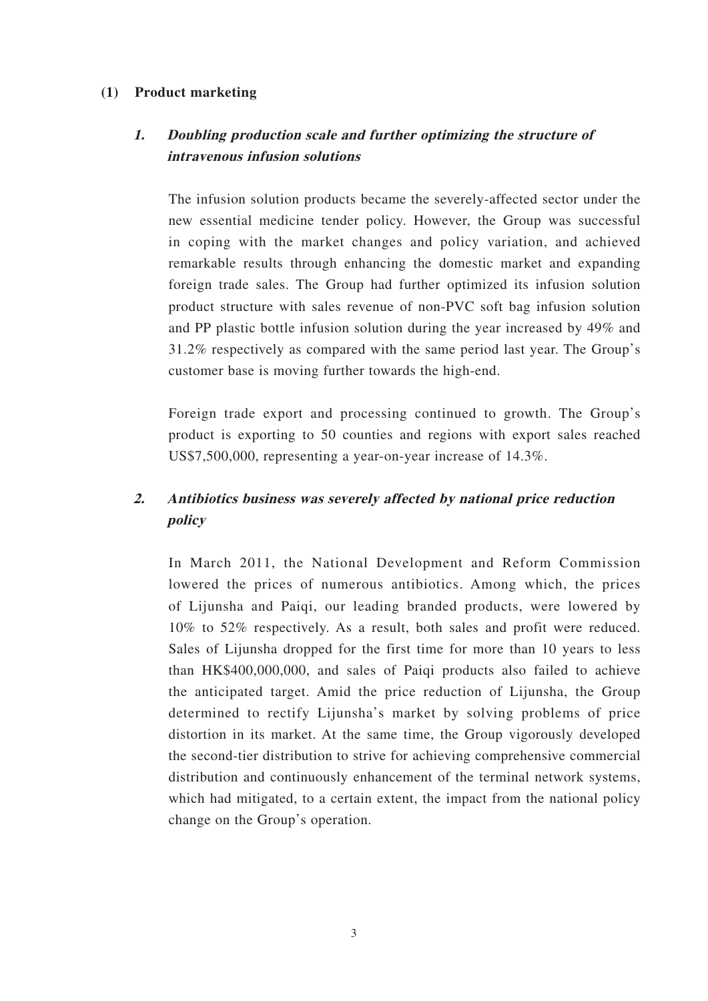### **(1) Product marketing**

## **1. Doubling production scale and further optimizing the structure of intravenous infusion solutions**

The infusion solution products became the severely-affected sector under the new essential medicine tender policy. However, the Group was successful in coping with the market changes and policy variation, and achieved remarkable results through enhancing the domestic market and expanding foreign trade sales. The Group had further optimized its infusion solution product structure with sales revenue of non-PVC soft bag infusion solution and PP plastic bottle infusion solution during the year increased by 49% and 31.2% respectively as compared with the same period last year. The Group's customer base is moving further towards the high-end.

Foreign trade export and processing continued to growth. The Group's product is exporting to 50 counties and regions with export sales reached US\$7,500,000, representing a year-on-year increase of 14.3%.

## **2. Antibiotics business was severely affected by national price reduction policy**

In March 2011, the National Development and Reform Commission lowered the prices of numerous antibiotics. Among which, the prices of Lijunsha and Paiqi, our leading branded products, were lowered by 10% to 52% respectively. As a result, both sales and profit were reduced. Sales of Lijunsha dropped for the first time for more than 10 years to less than HK\$400,000,000, and sales of Paiqi products also failed to achieve the anticipated target. Amid the price reduction of Lijunsha, the Group determined to rectify Lijunsha's market by solving problems of price distortion in its market. At the same time, the Group vigorously developed the second-tier distribution to strive for achieving comprehensive commercial distribution and continuously enhancement of the terminal network systems, which had mitigated, to a certain extent, the impact from the national policy change on the Group's operation.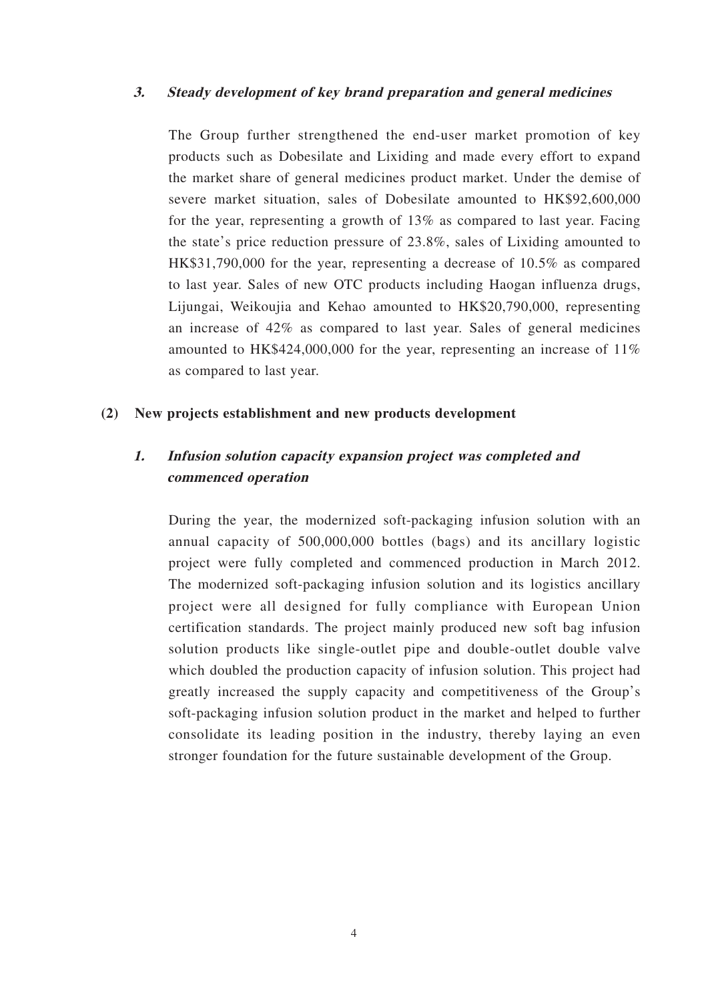### **3. Steady development of key brand preparation and general medicines**

The Group further strengthened the end-user market promotion of key products such as Dobesilate and Lixiding and made every effort to expand the market share of general medicines product market. Under the demise of severe market situation, sales of Dobesilate amounted to HK\$92,600,000 for the year, representing a growth of 13% as compared to last year. Facing the state's price reduction pressure of 23.8%, sales of Lixiding amounted to HK\$31,790,000 for the year, representing a decrease of 10.5% as compared to last year. Sales of new OTC products including Haogan influenza drugs, Lijungai, Weikoujia and Kehao amounted to HK\$20,790,000, representing an increase of 42% as compared to last year. Sales of general medicines amounted to HK\$424,000,000 for the year, representing an increase of 11% as compared to last year.

#### **(2) New projects establishment and new products development**

### **1. Infusion solution capacity expansion project was completed and commenced operation**

During the year, the modernized soft-packaging infusion solution with an annual capacity of 500,000,000 bottles (bags) and its ancillary logistic project were fully completed and commenced production in March 2012. The modernized soft-packaging infusion solution and its logistics ancillary project were all designed for fully compliance with European Union certification standards. The project mainly produced new soft bag infusion solution products like single-outlet pipe and double-outlet double valve which doubled the production capacity of infusion solution. This project had greatly increased the supply capacity and competitiveness of the Group's soft-packaging infusion solution product in the market and helped to further consolidate its leading position in the industry, thereby laying an even stronger foundation for the future sustainable development of the Group.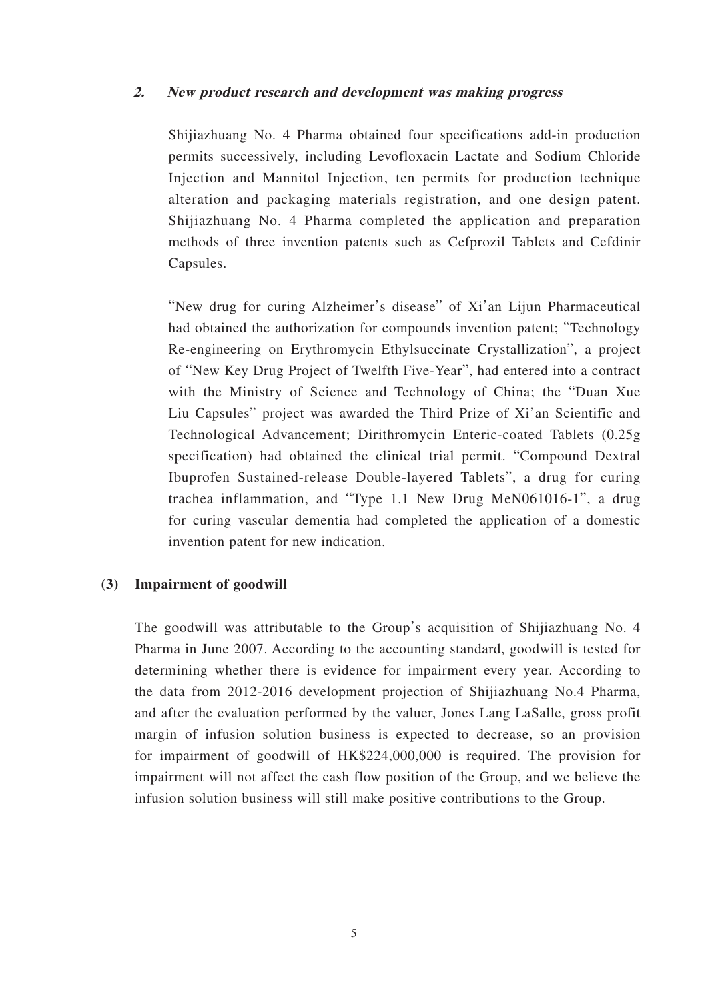#### **2. New product research and development was making progress**

Shijiazhuang No. 4 Pharma obtained four specifications add-in production permits successively, including Levofloxacin Lactate and Sodium Chloride Injection and Mannitol Injection, ten permits for production technique alteration and packaging materials registration, and one design patent. Shijiazhuang No. 4 Pharma completed the application and preparation methods of three invention patents such as Cefprozil Tablets and Cefdinir Capsules.

"New drug for curing Alzheimer's disease" of Xi'an Lijun Pharmaceutical had obtained the authorization for compounds invention patent; "Technology Re-engineering on Erythromycin Ethylsuccinate Crystallization", a project of "New Key Drug Project of Twelfth Five-Year", had entered into a contract with the Ministry of Science and Technology of China; the "Duan Xue Liu Capsules" project was awarded the Third Prize of Xi'an Scientific and Technological Advancement; Dirithromycin Enteric-coated Tablets (0.25g specification) had obtained the clinical trial permit. "Compound Dextral Ibuprofen Sustained-release Double-layered Tablets", a drug for curing trachea inflammation, and "Type 1.1 New Drug MeN061016-1", a drug for curing vascular dementia had completed the application of a domestic invention patent for new indication.

### **(3) Impairment of goodwill**

The goodwill was attributable to the Group's acquisition of Shijiazhuang No. 4 Pharma in June 2007. According to the accounting standard, goodwill is tested for determining whether there is evidence for impairment every year. According to the data from 2012-2016 development projection of Shijiazhuang No.4 Pharma, and after the evaluation performed by the valuer, Jones Lang LaSalle, gross profit margin of infusion solution business is expected to decrease, so an provision for impairment of goodwill of HK\$224,000,000 is required. The provision for impairment will not affect the cash flow position of the Group, and we believe the infusion solution business will still make positive contributions to the Group.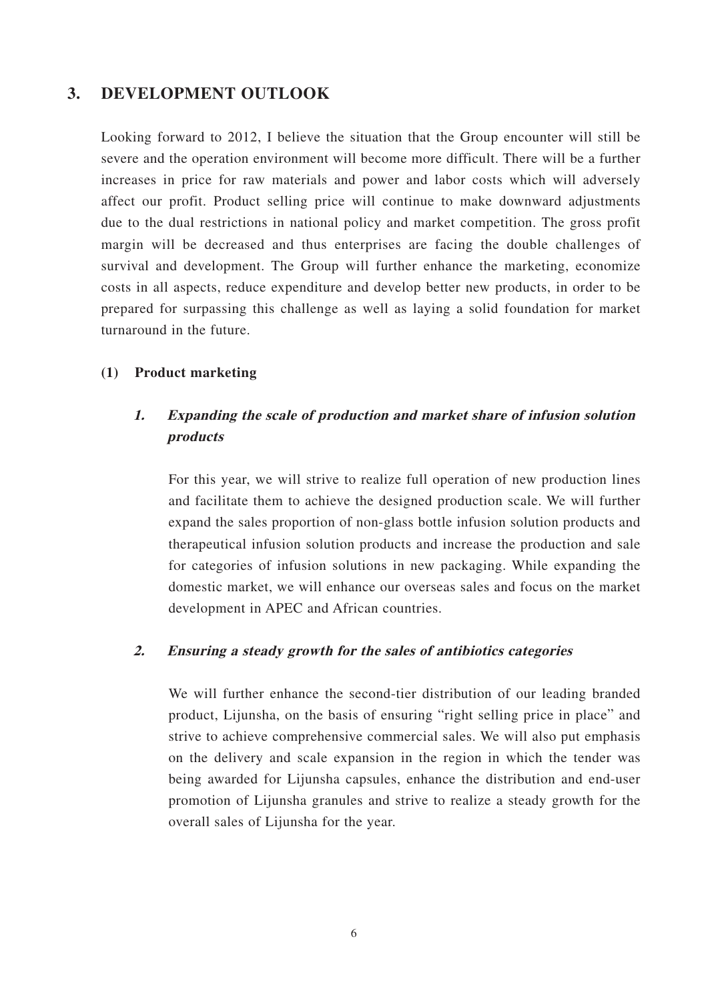### **3. DEVELOPMENT OUTLOOK**

Looking forward to 2012, I believe the situation that the Group encounter will still be severe and the operation environment will become more difficult. There will be a further increases in price for raw materials and power and labor costs which will adversely affect our profit. Product selling price will continue to make downward adjustments due to the dual restrictions in national policy and market competition. The gross profit margin will be decreased and thus enterprises are facing the double challenges of survival and development. The Group will further enhance the marketing, economize costs in all aspects, reduce expenditure and develop better new products, in order to be prepared for surpassing this challenge as well as laying a solid foundation for market turnaround in the future.

### **(1) Product marketing**

## **1. Expanding the scale of production and market share of infusion solution products**

For this year, we will strive to realize full operation of new production lines and facilitate them to achieve the designed production scale. We will further expand the sales proportion of non-glass bottle infusion solution products and therapeutical infusion solution products and increase the production and sale for categories of infusion solutions in new packaging. While expanding the domestic market, we will enhance our overseas sales and focus on the market development in APEC and African countries.

#### **2. Ensuring a steady growth for the sales of antibiotics categories**

We will further enhance the second-tier distribution of our leading branded product, Lijunsha, on the basis of ensuring "right selling price in place" and strive to achieve comprehensive commercial sales. We will also put emphasis on the delivery and scale expansion in the region in which the tender was being awarded for Lijunsha capsules, enhance the distribution and end-user promotion of Lijunsha granules and strive to realize a steady growth for the overall sales of Lijunsha for the year.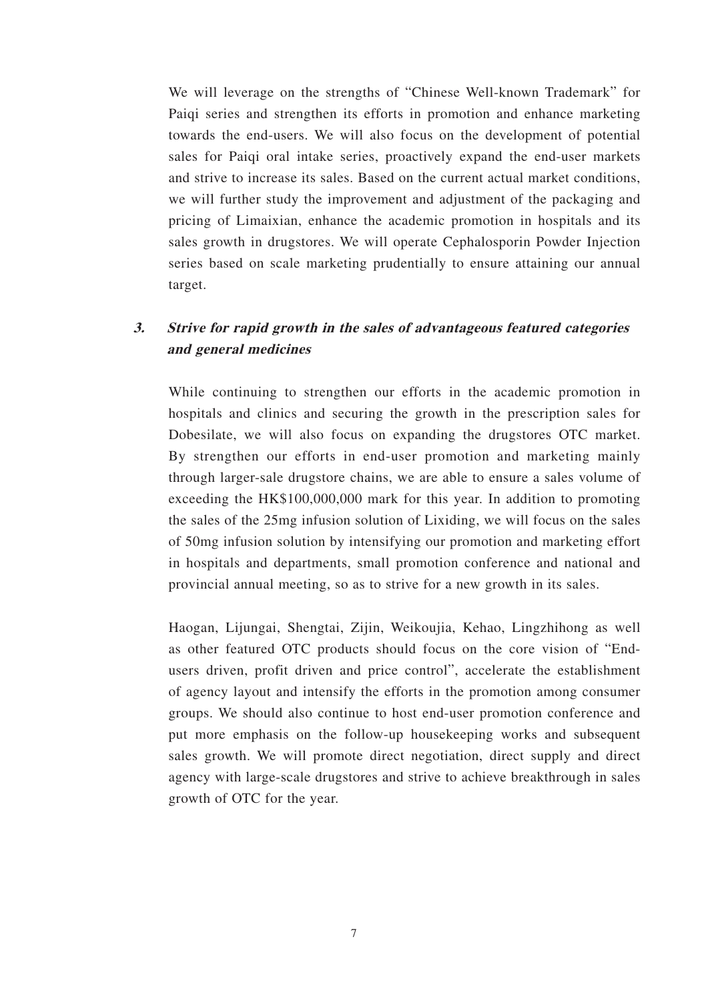We will leverage on the strengths of "Chinese Well-known Trademark" for Paiqi series and strengthen its efforts in promotion and enhance marketing towards the end-users. We will also focus on the development of potential sales for Paiqi oral intake series, proactively expand the end-user markets and strive to increase its sales. Based on the current actual market conditions, we will further study the improvement and adjustment of the packaging and pricing of Limaixian, enhance the academic promotion in hospitals and its sales growth in drugstores. We will operate Cephalosporin Powder Injection series based on scale marketing prudentially to ensure attaining our annual target.

## **3. Strive for rapid growth in the sales of advantageous featured categories and general medicines**

While continuing to strengthen our efforts in the academic promotion in hospitals and clinics and securing the growth in the prescription sales for Dobesilate, we will also focus on expanding the drugstores OTC market. By strengthen our efforts in end-user promotion and marketing mainly through larger-sale drugstore chains, we are able to ensure a sales volume of exceeding the HK\$100,000,000 mark for this year. In addition to promoting the sales of the 25mg infusion solution of Lixiding, we will focus on the sales of 50mg infusion solution by intensifying our promotion and marketing effort in hospitals and departments, small promotion conference and national and provincial annual meeting, so as to strive for a new growth in its sales.

Haogan, Lijungai, Shengtai, Zijin, Weikoujia, Kehao, Lingzhihong as well as other featured OTC products should focus on the core vision of "Endusers driven, profit driven and price control", accelerate the establishment of agency layout and intensify the efforts in the promotion among consumer groups. We should also continue to host end-user promotion conference and put more emphasis on the follow-up housekeeping works and subsequent sales growth. We will promote direct negotiation, direct supply and direct agency with large-scale drugstores and strive to achieve breakthrough in sales growth of OTC for the year.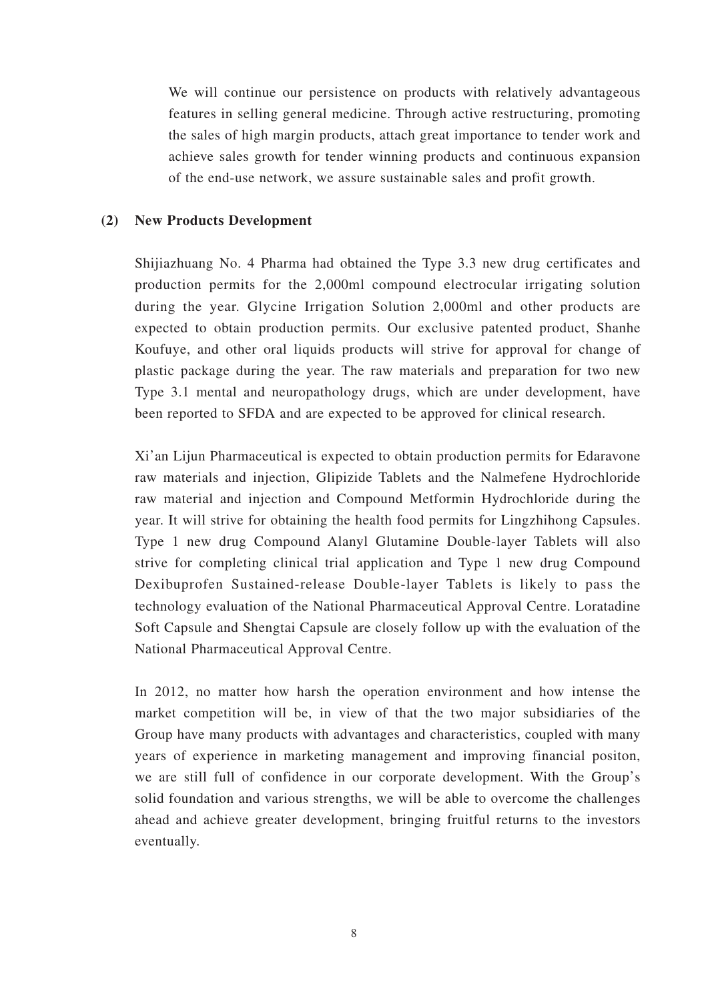We will continue our persistence on products with relatively advantageous features in selling general medicine. Through active restructuring, promoting the sales of high margin products, attach great importance to tender work and achieve sales growth for tender winning products and continuous expansion of the end-use network, we assure sustainable sales and profit growth.

#### **(2) New Products Development**

Shijiazhuang No. 4 Pharma had obtained the Type 3.3 new drug certificates and production permits for the 2,000ml compound electrocular irrigating solution during the year. Glycine Irrigation Solution 2,000ml and other products are expected to obtain production permits. Our exclusive patented product, Shanhe Koufuye, and other oral liquids products will strive for approval for change of plastic package during the year. The raw materials and preparation for two new Type 3.1 mental and neuropathology drugs, which are under development, have been reported to SFDA and are expected to be approved for clinical research.

Xi'an Lijun Pharmaceutical is expected to obtain production permits for Edaravone raw materials and injection, Glipizide Tablets and the Nalmefene Hydrochloride raw material and injection and Compound Metformin Hydrochloride during the year. It will strive for obtaining the health food permits for Lingzhihong Capsules. Type 1 new drug Compound Alanyl Glutamine Double-layer Tablets will also strive for completing clinical trial application and Type 1 new drug Compound Dexibuprofen Sustained-release Double-layer Tablets is likely to pass the technology evaluation of the National Pharmaceutical Approval Centre. Loratadine Soft Capsule and Shengtai Capsule are closely follow up with the evaluation of the National Pharmaceutical Approval Centre.

In 2012, no matter how harsh the operation environment and how intense the market competition will be, in view of that the two major subsidiaries of the Group have many products with advantages and characteristics, coupled with many years of experience in marketing management and improving financial positon, we are still full of confidence in our corporate development. With the Group's solid foundation and various strengths, we will be able to overcome the challenges ahead and achieve greater development, bringing fruitful returns to the investors eventually.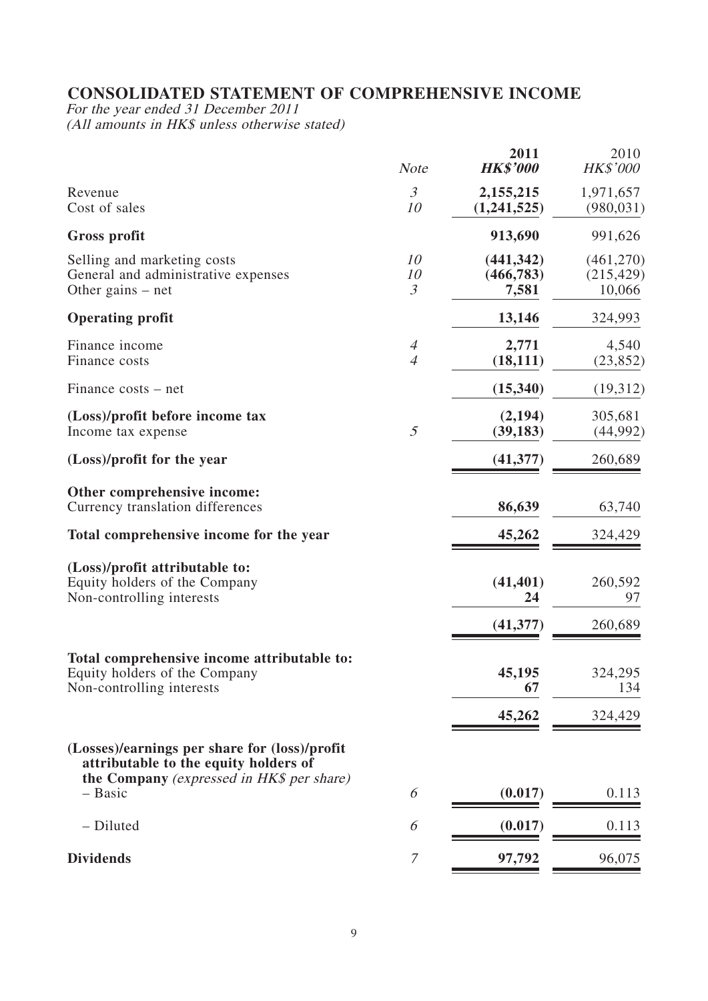## **CONSOLIDATED STATEMENT OF COMPREHENSIVE INCOME**

For the year ended 31 December 2011 (All amounts in HK\$ unless otherwise stated)

|                                                                                                                                     | <b>Note</b>                      | 2011<br><b>HK\$'000</b>           | 2010<br>HK\$'000                  |
|-------------------------------------------------------------------------------------------------------------------------------------|----------------------------------|-----------------------------------|-----------------------------------|
| Revenue<br>Cost of sales                                                                                                            | $\mathfrak{Z}$<br>10             | 2,155,215<br>(1,241,525)          | 1,971,657<br>(980, 031)           |
| Gross profit                                                                                                                        |                                  | 913,690                           | 991,626                           |
| Selling and marketing costs<br>General and administrative expenses<br>Other gains $-$ net                                           | 10<br>10<br>$\mathfrak{Z}$       | (441, 342)<br>(466, 783)<br>7,581 | (461,270)<br>(215, 429)<br>10,066 |
| <b>Operating profit</b>                                                                                                             |                                  | 13,146                            | 324,993                           |
| Finance income<br>Finance costs                                                                                                     | $\overline{4}$<br>$\overline{4}$ | 2,771<br>(18, 111)                | 4,540<br>(23, 852)                |
| Finance costs – net                                                                                                                 |                                  | (15,340)                          | (19,312)                          |
| (Loss)/profit before income tax<br>Income tax expense                                                                               | 5                                | (2, 194)<br>(39, 183)             | 305,681<br>(44,992)               |
| (Loss)/profit for the year                                                                                                          |                                  | (41, 377)                         | 260,689                           |
| Other comprehensive income:<br>Currency translation differences                                                                     |                                  | 86,639                            | 63,740                            |
| Total comprehensive income for the year                                                                                             |                                  | 45,262                            | 324,429                           |
| (Loss)/profit attributable to:<br>Equity holders of the Company<br>Non-controlling interests                                        |                                  | (41, 401)<br>24                   | 260,592<br>97                     |
|                                                                                                                                     |                                  | (41, 377)                         | 260,689                           |
| Total comprehensive income attributable to:<br>Equity holders of the Company<br>Non-controlling interests                           |                                  | 45,195<br>67                      | 324,295<br>134                    |
|                                                                                                                                     |                                  | 45,262                            | 324,429                           |
| (Losses)/earnings per share for (loss)/profit<br>attributable to the equity holders of<br>the Company (expressed in HK\$ per share) |                                  |                                   |                                   |
| - Basic                                                                                                                             | 6                                | (0.017)                           | 0.113                             |
| - Diluted                                                                                                                           | 6                                | (0.017)                           | 0.113                             |
| <b>Dividends</b>                                                                                                                    | 7                                | 97,792                            | 96,075                            |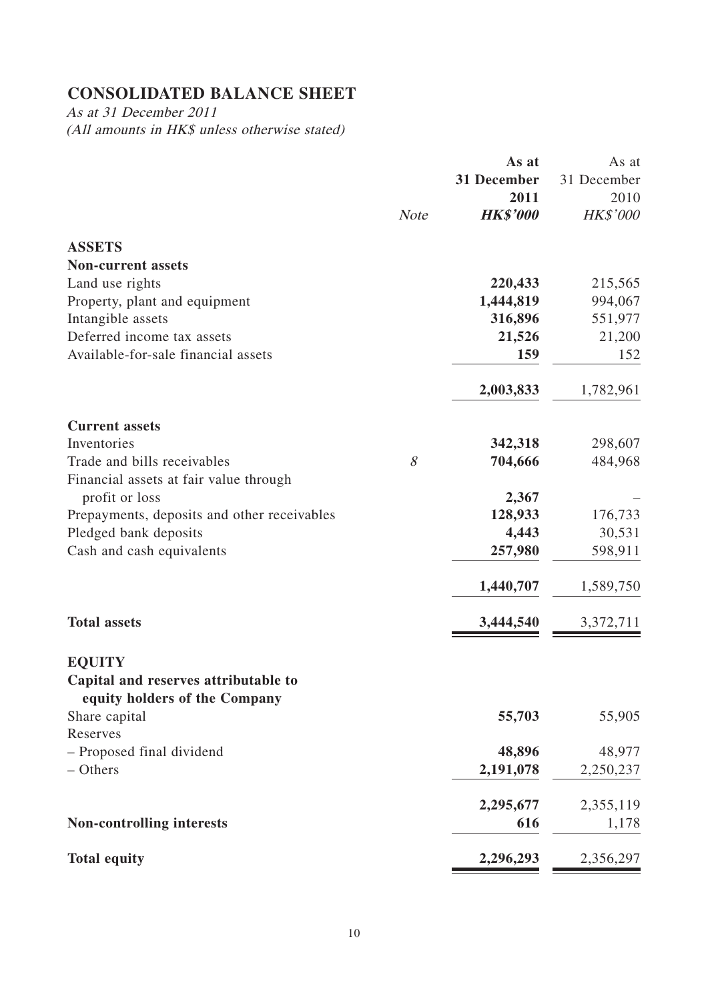## **CONSOLIDATED BALANCE SHEET**

As at 31 December 2011 (All amounts in HK\$ unless otherwise stated)

|                                                                       |             | As at           | As at           |
|-----------------------------------------------------------------------|-------------|-----------------|-----------------|
|                                                                       |             | 31 December     | 31 December     |
|                                                                       |             | 2011            | 2010            |
|                                                                       | <b>Note</b> | <b>HK\$'000</b> | <b>HK\$'000</b> |
| <b>ASSETS</b>                                                         |             |                 |                 |
| <b>Non-current assets</b>                                             |             |                 |                 |
| Land use rights                                                       |             | 220,433         | 215,565         |
| Property, plant and equipment                                         |             | 1,444,819       | 994,067         |
| Intangible assets                                                     |             | 316,896         | 551,977         |
| Deferred income tax assets                                            |             | 21,526          | 21,200          |
| Available-for-sale financial assets                                   |             | 159             | 152             |
|                                                                       |             | 2,003,833       | 1,782,961       |
| <b>Current assets</b>                                                 |             |                 |                 |
| Inventories                                                           |             | 342,318         | 298,607         |
| Trade and bills receivables                                           | 8           | 704,666         | 484,968         |
| Financial assets at fair value through                                |             |                 |                 |
| profit or loss                                                        |             | 2,367           |                 |
| Prepayments, deposits and other receivables                           |             | 128,933         | 176,733         |
| Pledged bank deposits                                                 |             | 4,443           | 30,531          |
| Cash and cash equivalents                                             |             | 257,980         | 598,911         |
|                                                                       |             | 1,440,707       | 1,589,750       |
| <b>Total assets</b>                                                   |             | 3,444,540       | 3,372,711       |
| <b>EQUITY</b>                                                         |             |                 |                 |
| Capital and reserves attributable to<br>equity holders of the Company |             |                 |                 |
| Share capital                                                         |             | 55,703          | 55,905          |
| Reserves                                                              |             |                 |                 |
| - Proposed final dividend                                             |             | 48,896          | 48,977          |
| - Others                                                              |             | 2,191,078       | 2,250,237       |
|                                                                       |             | 2,295,677       | 2,355,119       |
| <b>Non-controlling interests</b>                                      |             | 616             | 1,178           |
| <b>Total equity</b>                                                   |             | 2,296,293       | 2,356,297       |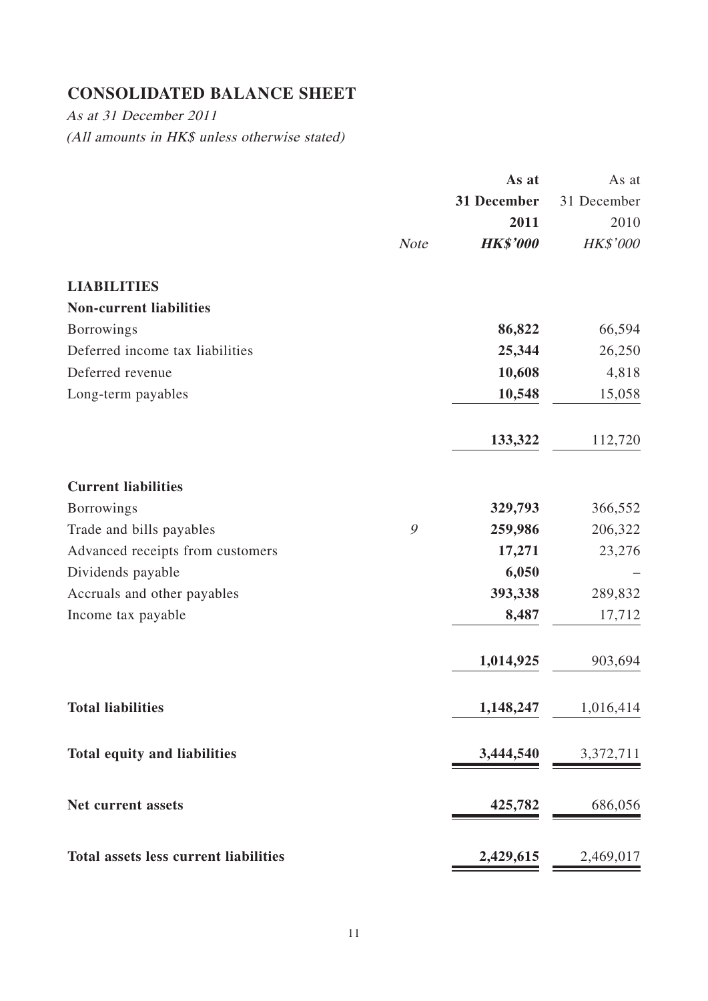## **CONSOLIDATED BALANCE SHEET**

As at 31 December 2011 (All amounts in HK\$ unless otherwise stated)

|                                              |             | As at           | As at       |
|----------------------------------------------|-------------|-----------------|-------------|
|                                              |             | 31 December     | 31 December |
|                                              |             | 2011            | 2010        |
|                                              | <b>Note</b> | <b>HK\$'000</b> | HK\$'000    |
| <b>LIABILITIES</b>                           |             |                 |             |
| <b>Non-current liabilities</b>               |             |                 |             |
| <b>Borrowings</b>                            |             | 86,822          | 66,594      |
| Deferred income tax liabilities              |             | 25,344          | 26,250      |
| Deferred revenue                             |             | 10,608          | 4,818       |
| Long-term payables                           |             | 10,548          | 15,058      |
|                                              |             | 133,322         | 112,720     |
| <b>Current liabilities</b>                   |             |                 |             |
| <b>Borrowings</b>                            |             | 329,793         | 366,552     |
| Trade and bills payables                     | 9           | 259,986         | 206,322     |
| Advanced receipts from customers             |             | 17,271          | 23,276      |
| Dividends payable                            |             | 6,050           |             |
| Accruals and other payables                  |             | 393,338         | 289,832     |
| Income tax payable                           |             | 8,487           | 17,712      |
|                                              |             | 1,014,925       | 903,694     |
| <b>Total liabilities</b>                     |             | 1,148,247       | 1,016,414   |
| <b>Total equity and liabilities</b>          |             | 3,444,540       | 3,372,711   |
| Net current assets                           |             | 425,782         | 686,056     |
| <b>Total assets less current liabilities</b> |             | 2,429,615       | 2,469,017   |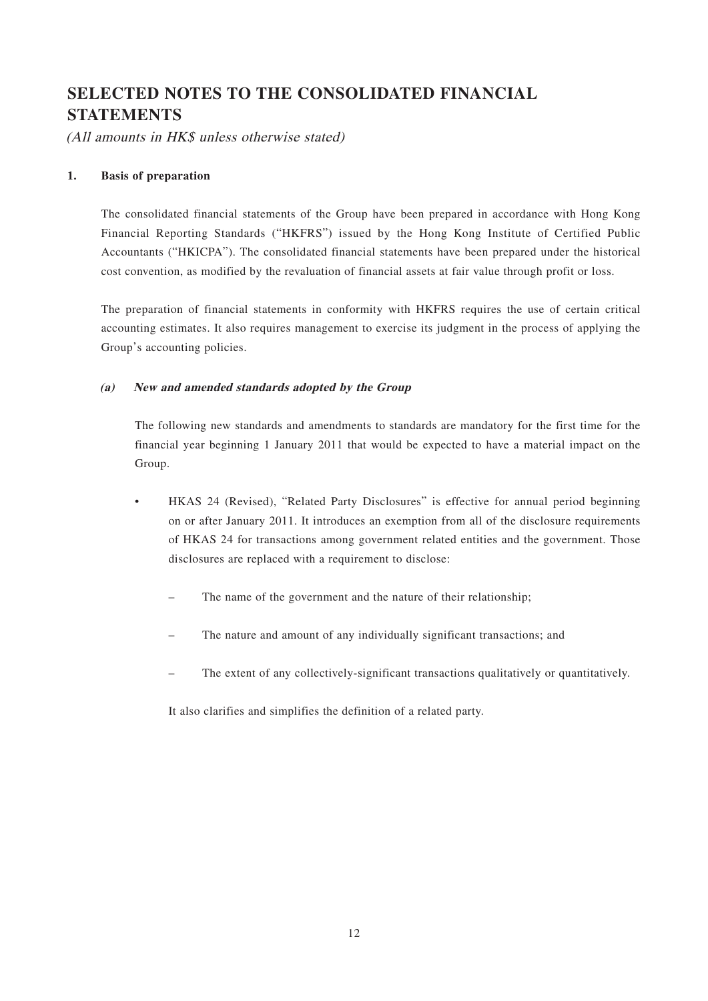## **SELECTED NOTES TO THE CONSOLIDATED FINANCIAL STATEMENTS**

(All amounts in HK\$ unless otherwise stated)

#### **1. Basis of preparation**

The consolidated financial statements of the Group have been prepared in accordance with Hong Kong Financial Reporting Standards ("HKFRS") issued by the Hong Kong Institute of Certified Public Accountants ("HKICPA"). The consolidated financial statements have been prepared under the historical cost convention, as modified by the revaluation of financial assets at fair value through profit or loss.

The preparation of financial statements in conformity with HKFRS requires the use of certain critical accounting estimates. It also requires management to exercise its judgment in the process of applying the Group's accounting policies.

#### **(a) New and amended standards adopted by the Group**

The following new standards and amendments to standards are mandatory for the first time for the financial year beginning 1 January 2011 that would be expected to have a material impact on the Group.

- HKAS 24 (Revised), "Related Party Disclosures" is effective for annual period beginning on or after January 2011. It introduces an exemption from all of the disclosure requirements of HKAS 24 for transactions among government related entities and the government. Those disclosures are replaced with a requirement to disclose:
	- The name of the government and the nature of their relationship;
	- The nature and amount of any individually significant transactions; and
	- The extent of any collectively-significant transactions qualitatively or quantitatively.

It also clarifies and simplifies the definition of a related party.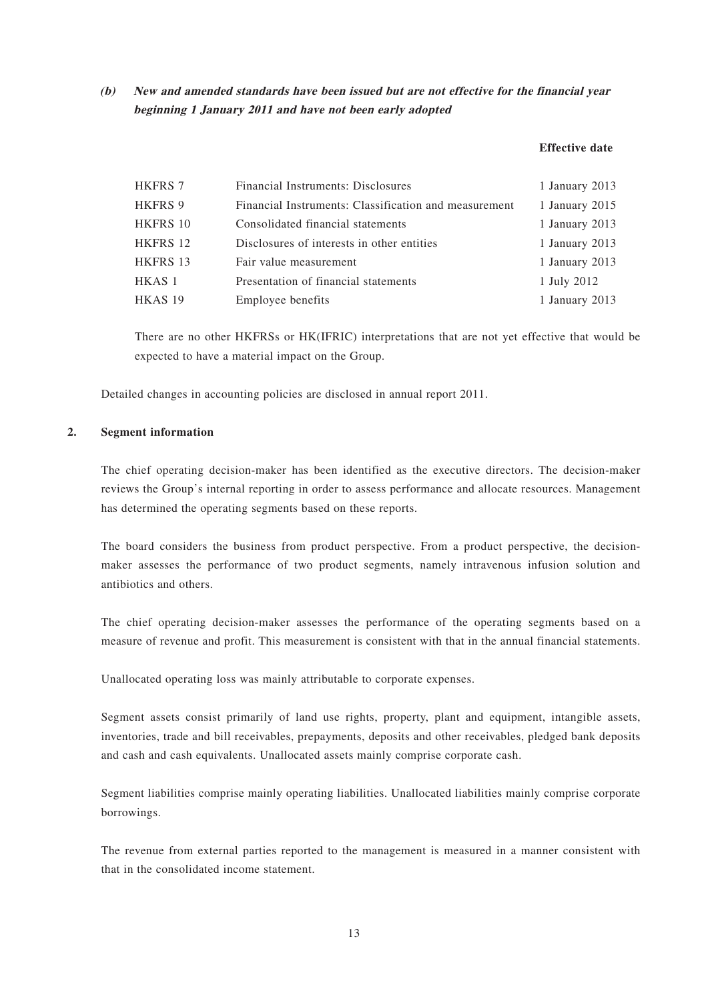**(b) New and amended standards have been issued but are not effective for the financial year beginning 1 January 2011 and have not been early adopted**

#### **Effective date**

| <b>HKFRS 7</b>  | Financial Instruments: Disclosures                    | 1 January 2013 |
|-----------------|-------------------------------------------------------|----------------|
| <b>HKFRS 9</b>  | Financial Instruments: Classification and measurement | 1 January 2015 |
| <b>HKFRS 10</b> | Consolidated financial statements                     | 1 January 2013 |
| HKFRS 12        | Disclosures of interests in other entities            | 1 January 2013 |
| <b>HKFRS 13</b> | Fair value measurement                                | 1 January 2013 |
| HKAS 1          | Presentation of financial statements                  | 1 July 2012    |
| HKAS 19         | Employee benefits                                     | 1 January 2013 |
|                 |                                                       |                |

There are no other HKFRSs or HK(IFRIC) interpretations that are not yet effective that would be expected to have a material impact on the Group.

Detailed changes in accounting policies are disclosed in annual report 2011.

#### **2. Segment information**

The chief operating decision-maker has been identified as the executive directors. The decision-maker reviews the Group's internal reporting in order to assess performance and allocate resources. Management has determined the operating segments based on these reports.

The board considers the business from product perspective. From a product perspective, the decisionmaker assesses the performance of two product segments, namely intravenous infusion solution and antibiotics and others.

The chief operating decision-maker assesses the performance of the operating segments based on a measure of revenue and profit. This measurement is consistent with that in the annual financial statements.

Unallocated operating loss was mainly attributable to corporate expenses.

Segment assets consist primarily of land use rights, property, plant and equipment, intangible assets, inventories, trade and bill receivables, prepayments, deposits and other receivables, pledged bank deposits and cash and cash equivalents. Unallocated assets mainly comprise corporate cash.

Segment liabilities comprise mainly operating liabilities. Unallocated liabilities mainly comprise corporate borrowings.

The revenue from external parties reported to the management is measured in a manner consistent with that in the consolidated income statement.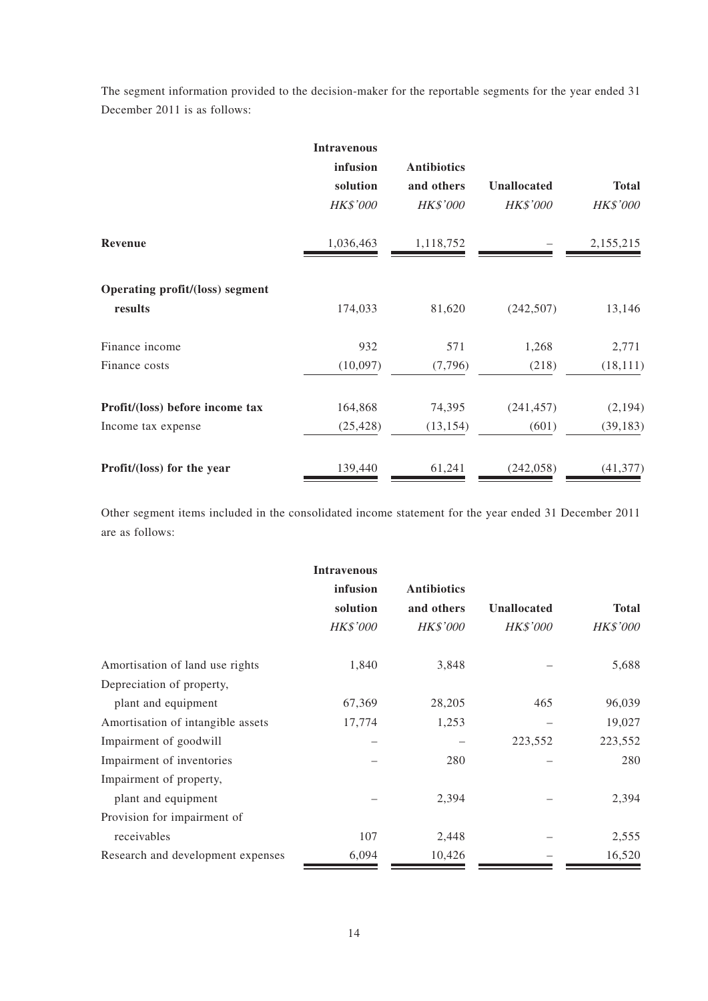The segment information provided to the decision-maker for the reportable segments for the year ended 31 December 2011 is as follows:

|                                            | <b>Intravenous</b><br>infusion<br>solution<br><b>HK\$'000</b> | <b>Antibiotics</b><br>and others<br><b>HK\$'000</b> | Unallocated<br>HK\$'000 | <b>Total</b><br><b>HK\$'000</b> |
|--------------------------------------------|---------------------------------------------------------------|-----------------------------------------------------|-------------------------|---------------------------------|
| Revenue                                    | 1,036,463                                                     | 1,118,752                                           |                         | 2,155,215                       |
| Operating profit/(loss) segment<br>results | 174,033                                                       | 81,620                                              | (242, 507)              | 13,146                          |
| Finance income                             | 932                                                           | 571                                                 | 1,268                   | 2,771                           |
| Finance costs                              | (10,097)                                                      | (7,796)                                             | (218)                   | (18, 111)                       |
| Profit/(loss) before income tax            | 164,868                                                       | 74,395                                              | (241, 457)              | (2, 194)                        |
| Income tax expense                         | (25, 428)                                                     | (13, 154)                                           | (601)                   | (39, 183)                       |
| Profit/(loss) for the year                 | 139,440                                                       | 61,241                                              | (242, 058)              | (41, 377)                       |

Other segment items included in the consolidated income statement for the year ended 31 December 2011 are as follows:

|                                   | <b>Intravenous</b> |                    |                    |                 |
|-----------------------------------|--------------------|--------------------|--------------------|-----------------|
|                                   | infusion           | <b>Antibiotics</b> |                    |                 |
|                                   | solution           | and others         | <b>Unallocated</b> | <b>Total</b>    |
|                                   | <b>HK\$'000</b>    | <b>HK\$'000</b>    | <b>HK\$'000</b>    | <b>HK\$'000</b> |
| Amortisation of land use rights   | 1,840              | 3,848              |                    | 5,688           |
| Depreciation of property,         |                    |                    |                    |                 |
| plant and equipment               | 67,369             | 28,205             | 465                | 96,039          |
| Amortisation of intangible assets | 17,774             | 1,253              |                    | 19,027          |
| Impairment of goodwill            |                    |                    | 223,552            | 223,552         |
| Impairment of inventories         |                    | 280                |                    | 280             |
| Impairment of property,           |                    |                    |                    |                 |
| plant and equipment               |                    | 2,394              |                    | 2,394           |
| Provision for impairment of       |                    |                    |                    |                 |
| receivables                       | 107                | 2,448              |                    | 2,555           |
| Research and development expenses | 6,094              | 10,426             |                    | 16,520          |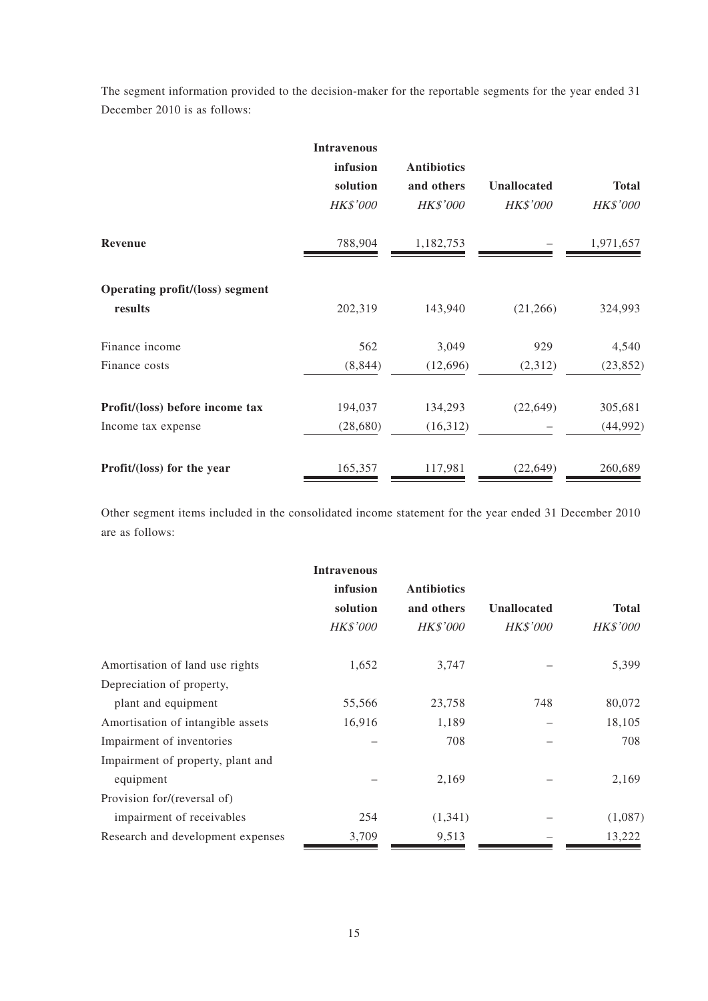The segment information provided to the decision-maker for the reportable segments for the year ended 31 December 2010 is as follows:

|                                            | <b>Intravenous</b><br>infusion<br>solution<br><b>HK\$'000</b> | <b>Antibiotics</b><br>and others<br><b>HK\$'000</b> | Unallocated<br><b>HK\$'000</b> | <b>Total</b><br><b>HK\$'000</b> |
|--------------------------------------------|---------------------------------------------------------------|-----------------------------------------------------|--------------------------------|---------------------------------|
| <b>Revenue</b>                             | 788,904                                                       | 1,182,753                                           |                                | 1,971,657                       |
| Operating profit/(loss) segment<br>results | 202,319                                                       | 143,940                                             | (21,266)                       | 324,993                         |
| Finance income                             | 562                                                           | 3,049                                               | 929                            | 4,540                           |
| Finance costs                              | (8, 844)                                                      | (12,696)                                            | (2,312)                        | (23, 852)                       |
| Profit/(loss) before income tax            | 194,037                                                       | 134,293                                             | (22, 649)                      | 305,681                         |
| Income tax expense                         | (28,680)                                                      | (16,312)                                            |                                | (44,992)                        |
| Profit/(loss) for the year                 | 165,357                                                       | 117,981                                             | (22, 649)                      | 260,689                         |

Other segment items included in the consolidated income statement for the year ended 31 December 2010 are as follows:

|                                   | <b>Intravenous</b> |                    |                    |                 |
|-----------------------------------|--------------------|--------------------|--------------------|-----------------|
|                                   | infusion           | <b>Antibiotics</b> |                    |                 |
|                                   | solution           | and others         | <b>Unallocated</b> | <b>Total</b>    |
|                                   | <b>HK\$'000</b>    | <b>HK\$'000</b>    | <b>HK\$'000</b>    | <b>HK\$'000</b> |
| Amortisation of land use rights   | 1,652              | 3,747              |                    | 5,399           |
| Depreciation of property,         |                    |                    |                    |                 |
| plant and equipment               | 55,566             | 23,758             | 748                | 80,072          |
| Amortisation of intangible assets | 16,916             | 1,189              |                    | 18,105          |
| Impairment of inventories         |                    | 708                |                    | 708             |
| Impairment of property, plant and |                    |                    |                    |                 |
| equipment                         |                    | 2,169              |                    | 2,169           |
| Provision for/(reversal of)       |                    |                    |                    |                 |
| impairment of receivables         | 254                | (1,341)            |                    | (1,087)         |
| Research and development expenses | 3,709              | 9,513              |                    | 13,222          |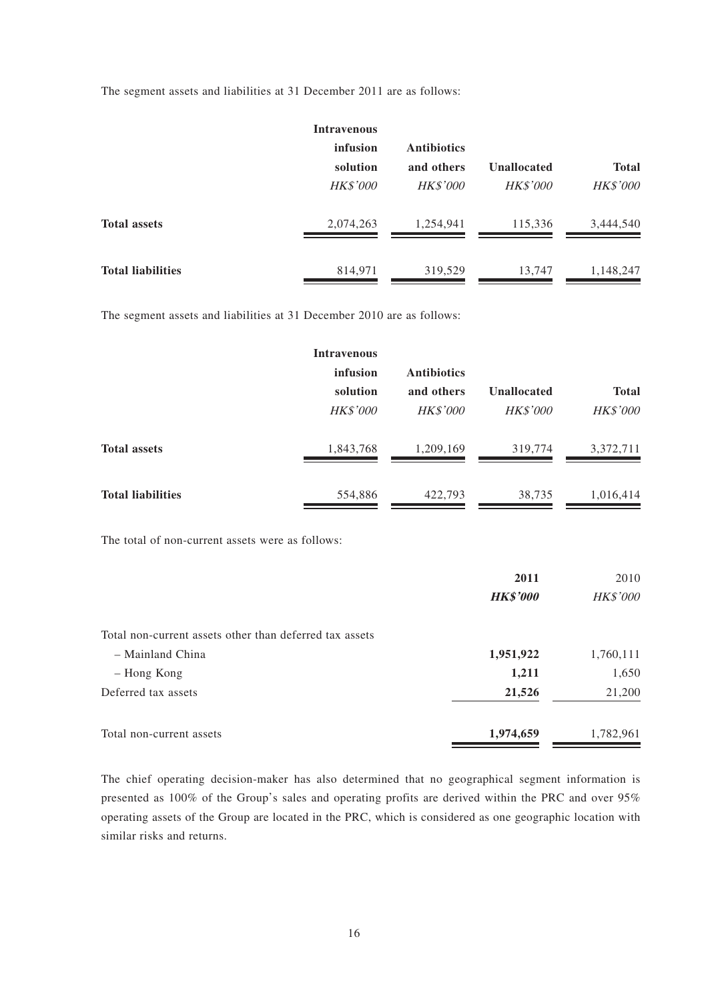The segment assets and liabilities at 31 December 2011 are as follows:

|                          | <b>Intravenous</b> |                    |                    |                 |
|--------------------------|--------------------|--------------------|--------------------|-----------------|
|                          | infusion           | <b>Antibiotics</b> |                    |                 |
|                          | solution           | and others         | <b>Unallocated</b> | <b>Total</b>    |
|                          | <b>HK\$'000</b>    | <b>HK\$'000</b>    | <b>HK\$'000</b>    | <b>HK\$'000</b> |
| <b>Total assets</b>      | 2,074,263          | 1,254,941          | 115,336            | 3,444,540       |
| <b>Total liabilities</b> | 814,971            | 319,529            | 13,747             | 1,148,247       |

The segment assets and liabilities at 31 December 2010 are as follows:

|                          | <b>Intravenous</b> |                    |                    |                 |
|--------------------------|--------------------|--------------------|--------------------|-----------------|
|                          | infusion           | <b>Antibiotics</b> |                    |                 |
|                          | solution           | and others         | <b>Unallocated</b> | <b>Total</b>    |
|                          | <b>HK\$'000</b>    | <b>HK\$'000</b>    | <b>HK\$'000</b>    | <b>HK\$'000</b> |
| <b>Total assets</b>      | 1,843,768          | 1,209,169          | 319,774            | 3,372,711       |
| <b>Total liabilities</b> | 554,886            | 422,793            | 38,735             | 1,016,414       |

The total of non-current assets were as follows:

|                                                         | 2011<br><b>HK\$'000</b> | 2010<br><b>HK\$'000</b> |
|---------------------------------------------------------|-------------------------|-------------------------|
| Total non-current assets other than deferred tax assets |                         |                         |
| - Mainland China                                        | 1,951,922               | 1,760,111               |
| - Hong Kong                                             | 1,211                   | 1,650                   |
| Deferred tax assets                                     | 21,526                  | 21,200                  |
| Total non-current assets                                | 1,974,659               | 1,782,961               |

The chief operating decision-maker has also determined that no geographical segment information is presented as 100% of the Group's sales and operating profits are derived within the PRC and over 95% operating assets of the Group are located in the PRC, which is considered as one geographic location with similar risks and returns.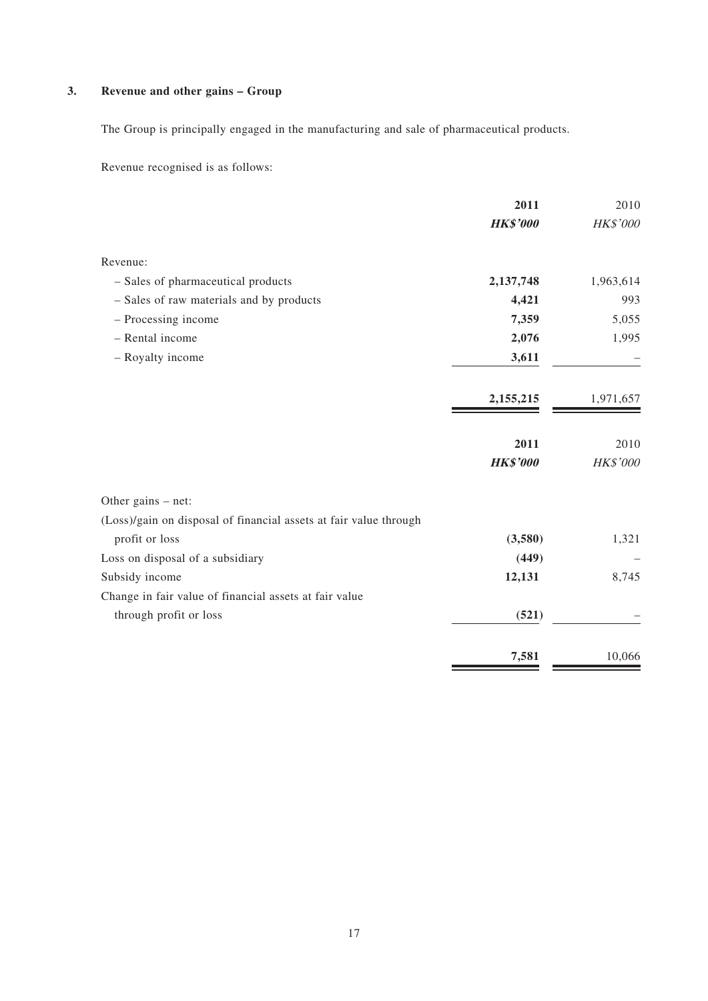### **3. Revenue and other gains – Group**

The Group is principally engaged in the manufacturing and sale of pharmaceutical products.

Revenue recognised is as follows:

|                                                                   | 2011            | 2010      |
|-------------------------------------------------------------------|-----------------|-----------|
|                                                                   | <b>HK\$'000</b> | HK\$'000  |
| Revenue:                                                          |                 |           |
| - Sales of pharmaceutical products                                | 2,137,748       | 1,963,614 |
| - Sales of raw materials and by products                          | 4,421           | 993       |
| - Processing income                                               | 7,359           | 5,055     |
| - Rental income                                                   | 2,076           | 1,995     |
| - Royalty income                                                  | 3,611           |           |
|                                                                   | 2,155,215       | 1,971,657 |
|                                                                   | 2011            | 2010      |
|                                                                   | <b>HK\$'000</b> | HK\$'000  |
| Other gains $-$ net:                                              |                 |           |
| (Loss)/gain on disposal of financial assets at fair value through |                 |           |
| profit or loss                                                    | (3,580)         | 1,321     |
| Loss on disposal of a subsidiary                                  | (449)           |           |
| Subsidy income                                                    | 12,131          | 8,745     |
| Change in fair value of financial assets at fair value            |                 |           |
| through profit or loss                                            | (521)           |           |
|                                                                   | 7,581           | 10,066    |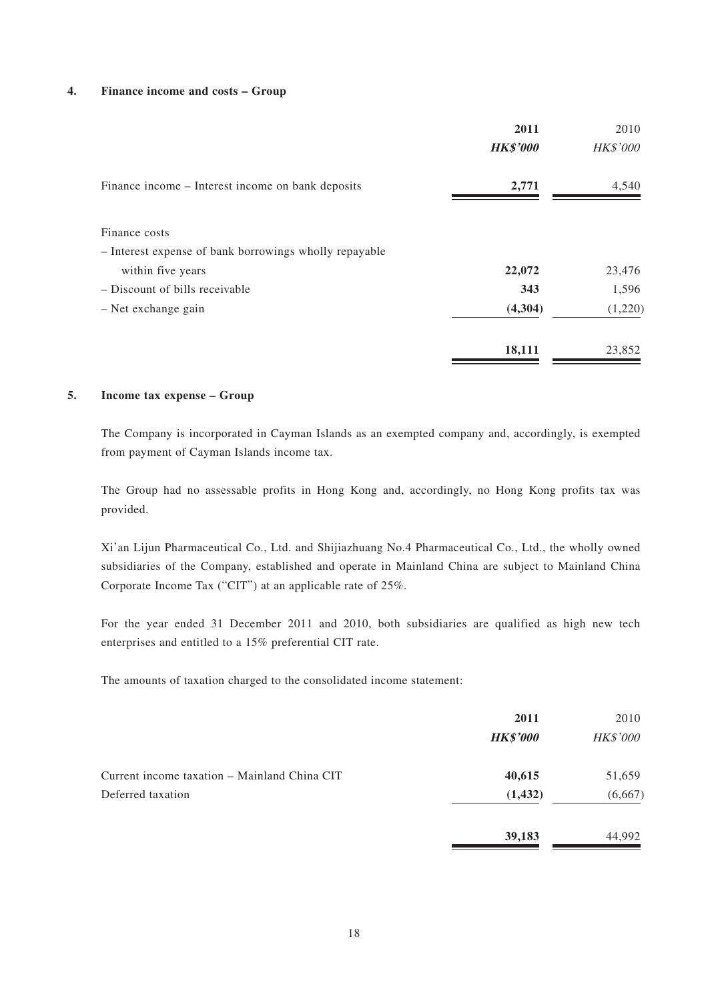#### **4. Finance income and costs – Group**

|                                                        | 2011            | 2010            |
|--------------------------------------------------------|-----------------|-----------------|
|                                                        | <b>HK\$'000</b> | <b>HK\$'000</b> |
| Finance income – Interest income on bank deposits      | 2,771           | 4,540           |
| Finance costs                                          |                 |                 |
| - Interest expense of bank borrowings wholly repayable |                 |                 |
| within five years                                      | 22,072          | 23,476          |
| - Discount of bills receivable                         | 343             | 1,596           |
| $-$ Net exchange gain                                  | (4,304)         | (1,220)         |
|                                                        | 18,111          | 23,852          |

#### **5. Income tax expense – Group**

The Company is incorporated in Cayman Islands as an exempted company and, accordingly, is exempted from payment of Cayman Islands income tax.

The Group had no assessable profits in Hong Kong and, accordingly, no Hong Kong profits tax was provided.

Xi'an Lijun Pharmaceutical Co., Ltd. and Shijiazhuang No.4 Pharmaceutical Co., Ltd., the wholly owned subsidiaries of the Company, established and operate in Mainland China are subject to Mainland China Corporate Income Tax ("CIT") at an applicable rate of 25%.

For the year ended 31 December 2011 and 2010, both subsidiaries are qualified as high new tech enterprises and entitled to a 15% preferential CIT rate.

The amounts of taxation charged to the consolidated income statement:

|                                              | 2011            | 2010            |
|----------------------------------------------|-----------------|-----------------|
|                                              | <b>HK\$'000</b> | <b>HK\$'000</b> |
| Current income taxation – Mainland China CIT | 40,615          | 51,659          |
| Deferred taxation                            | (1, 432)        | (6,667)         |
|                                              | 39,183          | 44,992          |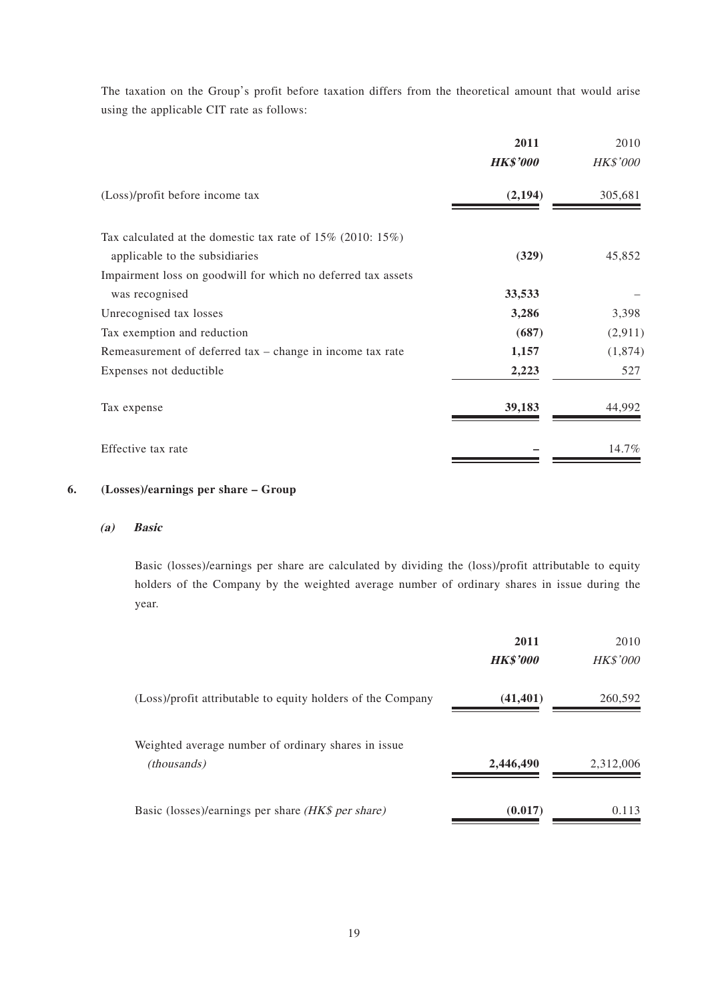The taxation on the Group's profit before taxation differs from the theoretical amount that would arise using the applicable CIT rate as follows:

|                                                                                                | 2011<br><b>HK\$'000</b> | 2010<br><b>HK\$'000</b> |
|------------------------------------------------------------------------------------------------|-------------------------|-------------------------|
| (Loss)/profit before income tax                                                                | (2, 194)                | 305,681                 |
| Tax calculated at the domestic tax rate of $15\%$ (2010: $15\%$ )                              |                         |                         |
| applicable to the subsidiaries<br>Impairment loss on goodwill for which no deferred tax assets | (329)                   | 45,852                  |
| was recognised                                                                                 | 33,533                  |                         |
| Unrecognised tax losses                                                                        | 3,286                   | 3,398                   |
| Tax exemption and reduction                                                                    | (687)                   | (2,911)                 |
| Remeasurement of deferred $tax - change$ in income tax rate                                    | 1,157                   | (1,874)                 |
| Expenses not deductible                                                                        | 2,223                   | 527                     |
| Tax expense                                                                                    | 39,183                  | 44,992                  |
| Effective tax rate                                                                             |                         | 14.7%                   |

#### **6. (Losses)/earnings per share – Group**

#### **(a) Basic**

Basic (losses)/earnings per share are calculated by dividing the (loss)/profit attributable to equity holders of the Company by the weighted average number of ordinary shares in issue during the year.

|                                                                            | 2011<br><b>HK\$'000</b> | 2010<br><b>HK\$'000</b> |
|----------------------------------------------------------------------------|-------------------------|-------------------------|
| (Loss)/profit attributable to equity holders of the Company                | (41, 401)               | 260,592                 |
| Weighted average number of ordinary shares in issue.<br><i>(thousands)</i> | 2,446,490               | 2,312,006               |
| Basic (losses)/earnings per share (HK\$ per share)                         | (0.017)                 | 0.113                   |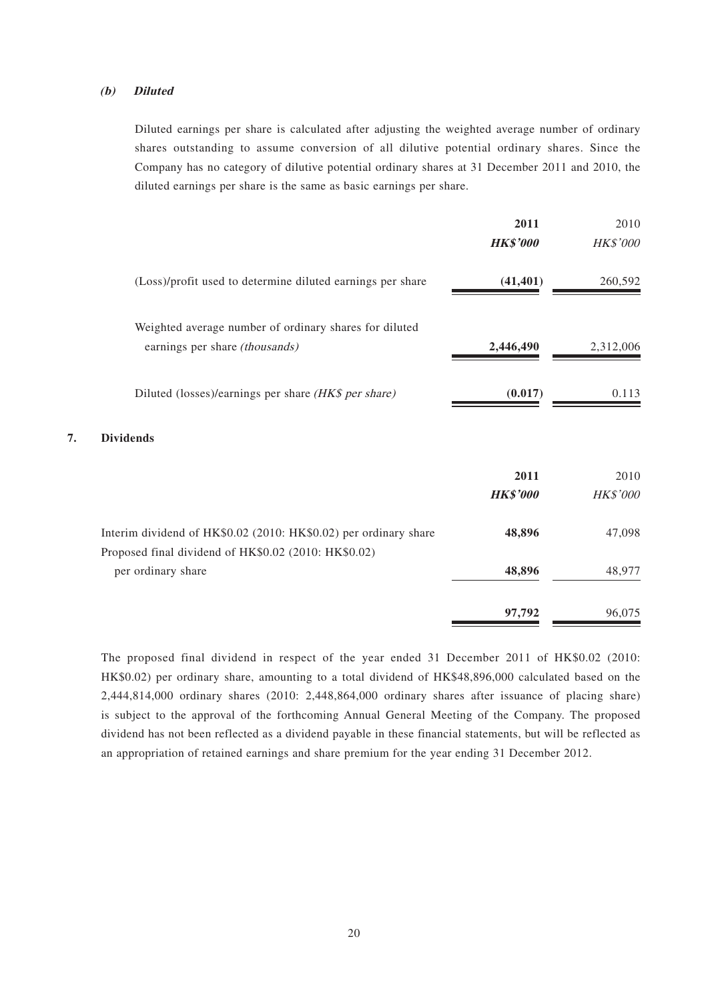#### **(b) Diluted**

Diluted earnings per share is calculated after adjusting the weighted average number of ordinary shares outstanding to assume conversion of all dilutive potential ordinary shares. Since the Company has no category of dilutive potential ordinary shares at 31 December 2011 and 2010, the diluted earnings per share is the same as basic earnings per share.

|                        |                                                                                                                          | 2011<br><b>HK\$'000</b> | 2010<br>HK\$'000 |
|------------------------|--------------------------------------------------------------------------------------------------------------------------|-------------------------|------------------|
|                        | (Loss)/profit used to determine diluted earnings per share                                                               | (41, 401)               | 260,592          |
|                        | Weighted average number of ordinary shares for diluted<br>earnings per share (thousands)                                 | 2,446,490               | 2,312,006        |
|                        | Diluted (losses)/earnings per share (HK\$ per share)                                                                     | (0.017)                 | 0.113            |
| <b>Dividends</b><br>7. |                                                                                                                          |                         |                  |
|                        |                                                                                                                          | 2011<br><b>HK\$'000</b> | 2010<br>HK\$'000 |
|                        | Interim dividend of HK\$0.02 (2010: HK\$0.02) per ordinary share<br>Proposed final dividend of HK\$0.02 (2010: HK\$0.02) | 48,896                  | 47,098           |
| per ordinary share     |                                                                                                                          | 48,896                  | 48,977           |
|                        |                                                                                                                          | 97,792                  | 96,075           |

The proposed final dividend in respect of the year ended 31 December 2011 of HK\$0.02 (2010: HK\$0.02) per ordinary share, amounting to a total dividend of HK\$48,896,000 calculated based on the 2,444,814,000 ordinary shares (2010: 2,448,864,000 ordinary shares after issuance of placing share) is subject to the approval of the forthcoming Annual General Meeting of the Company. The proposed dividend has not been reflected as a dividend payable in these financial statements, but will be reflected as an appropriation of retained earnings and share premium for the year ending 31 December 2012.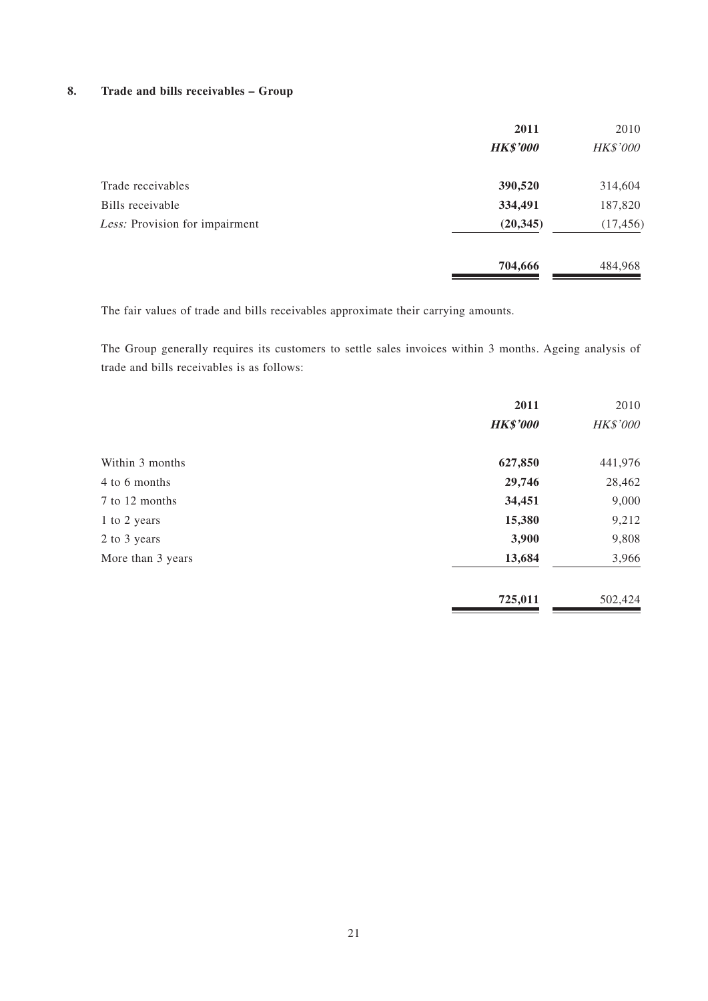#### **8. Trade and bills receivables – Group**

|                                | 2011            | 2010            |
|--------------------------------|-----------------|-----------------|
|                                | <b>HK\$'000</b> | <b>HK\$'000</b> |
| Trade receivables              | 390,520         | 314,604         |
| Bills receivable               | 334,491         | 187,820         |
| Less: Provision for impairment | (20, 345)       | (17, 456)       |
|                                | 704,666         | 484,968         |

The fair values of trade and bills receivables approximate their carrying amounts.

The Group generally requires its customers to settle sales invoices within 3 months. Ageing analysis of trade and bills receivables is as follows:

|                   | 2011            | 2010     |
|-------------------|-----------------|----------|
|                   | <b>HK\$'000</b> | HK\$'000 |
| Within 3 months   | 627,850         | 441,976  |
| 4 to 6 months     | 29,746          | 28,462   |
| 7 to 12 months    | 34,451          | 9,000    |
| 1 to 2 years      | 15,380          | 9,212    |
| 2 to 3 years      | 3,900           | 9,808    |
| More than 3 years | 13,684          | 3,966    |
|                   | 725,011         | 502,424  |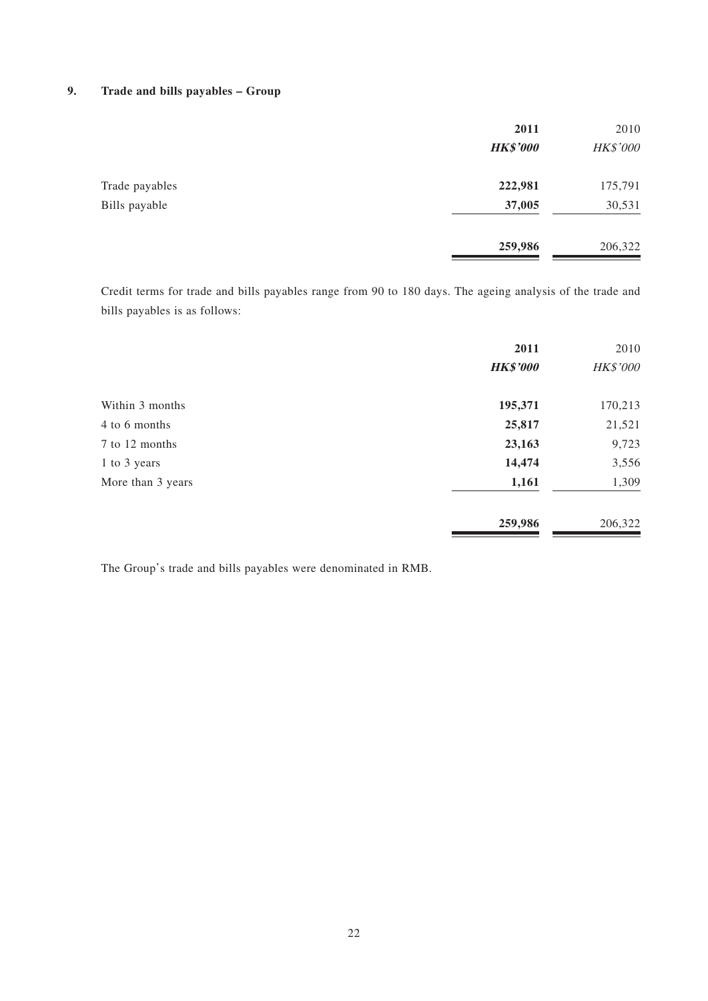#### **9. Trade and bills payables – Group**

|                | 2011            | 2010     |
|----------------|-----------------|----------|
|                | <b>HK\$'000</b> | HK\$'000 |
| Trade payables | 222,981         | 175,791  |
| Bills payable  | 37,005          | 30,531   |
|                | 259,986         | 206,322  |

Credit terms for trade and bills payables range from 90 to 180 days. The ageing analysis of the trade and bills payables is as follows:

|                   | 2011            | 2010     |
|-------------------|-----------------|----------|
|                   | <b>HK\$'000</b> | HK\$'000 |
| Within 3 months   | 195,371         | 170,213  |
| 4 to 6 months     | 25,817          | 21,521   |
| 7 to 12 months    | 23,163          | 9,723    |
| 1 to 3 years      | 14,474          | 3,556    |
| More than 3 years | 1,161           | 1,309    |
|                   | 259,986         | 206,322  |

The Group's trade and bills payables were denominated in RMB.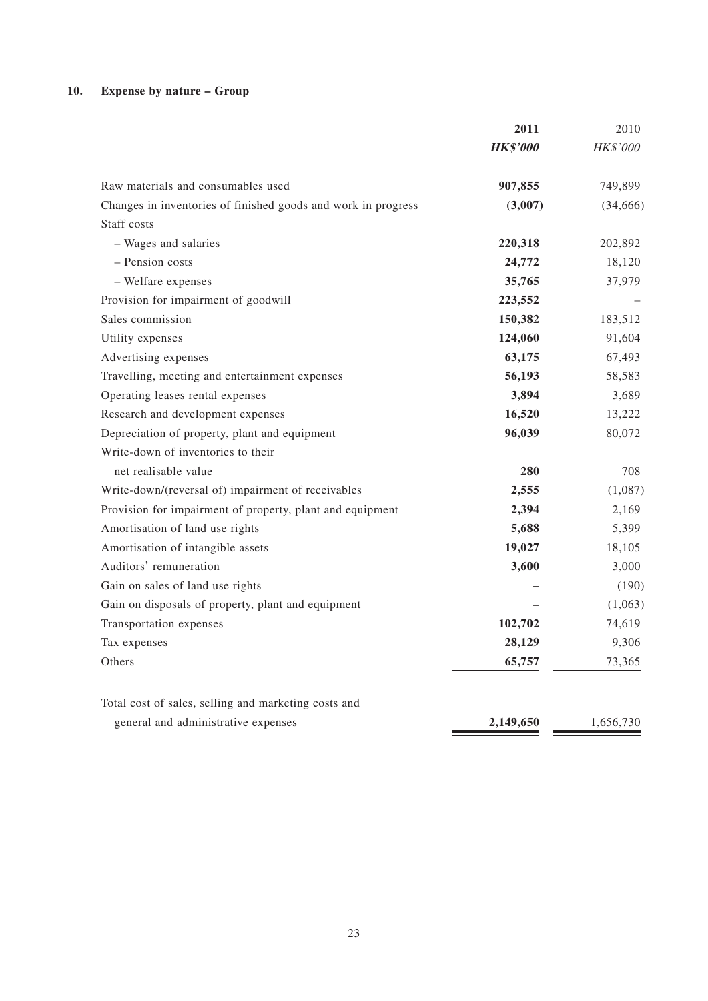### **10. Expense by nature – Group**

|                                                               | 2011            | 2010      |
|---------------------------------------------------------------|-----------------|-----------|
|                                                               | <b>HK\$'000</b> | HK\$'000  |
| Raw materials and consumables used                            | 907,855         | 749,899   |
| Changes in inventories of finished goods and work in progress | (3,007)         | (34, 666) |
| Staff costs                                                   |                 |           |
| - Wages and salaries                                          | 220,318         | 202,892   |
| - Pension costs                                               | 24,772          | 18,120    |
| - Welfare expenses                                            | 35,765          | 37,979    |
| Provision for impairment of goodwill                          | 223,552         |           |
| Sales commission                                              | 150,382         | 183,512   |
| Utility expenses                                              | 124,060         | 91,604    |
| Advertising expenses                                          | 63,175          | 67,493    |
| Travelling, meeting and entertainment expenses                | 56,193          | 58,583    |
| Operating leases rental expenses                              | 3,894           | 3,689     |
| Research and development expenses                             | 16,520          | 13,222    |
| Depreciation of property, plant and equipment                 | 96,039          | 80,072    |
| Write-down of inventories to their                            |                 |           |
| net realisable value                                          | 280             | 708       |
| Write-down/(reversal of) impairment of receivables            | 2,555           | (1,087)   |
| Provision for impairment of property, plant and equipment     | 2,394           | 2,169     |
| Amortisation of land use rights                               | 5,688           | 5,399     |
| Amortisation of intangible assets                             | 19,027          | 18,105    |
| Auditors' remuneration                                        | 3,600           | 3,000     |
| Gain on sales of land use rights                              |                 | (190)     |
| Gain on disposals of property, plant and equipment            |                 | (1,063)   |
| Transportation expenses                                       | 102,702         | 74,619    |
| Tax expenses                                                  | 28,129          | 9,306     |
| Others                                                        | 65,757          | 73,365    |
| Total cost of sales, selling and marketing costs and          |                 |           |
| general and administrative expenses                           | 2,149,650       | 1,656,730 |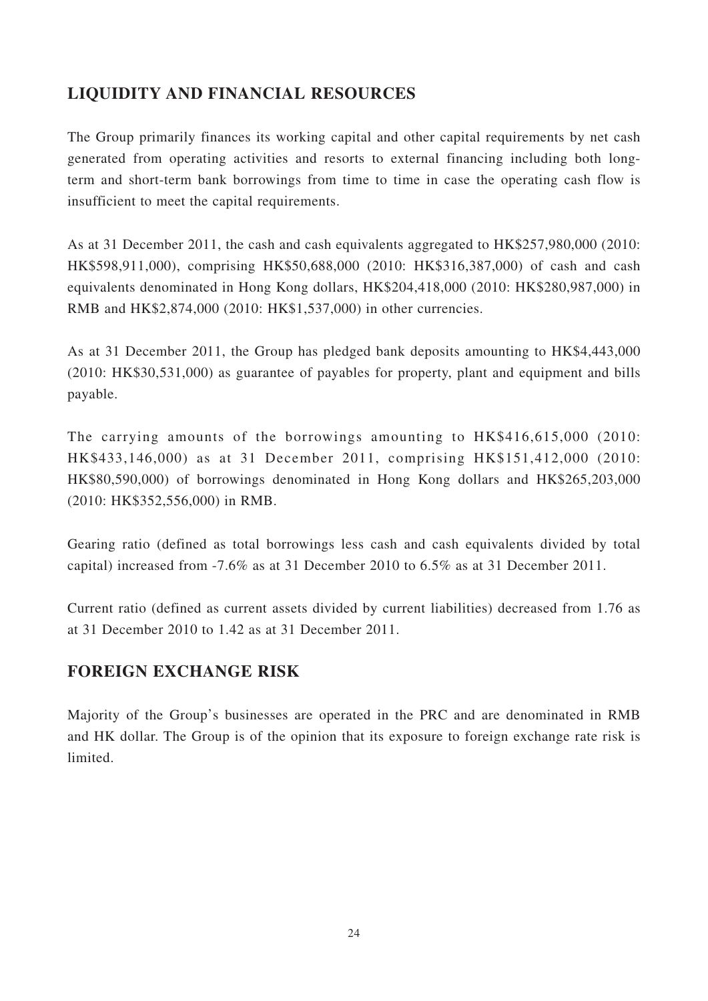## **LIQUIDITY AND FINANCIAL RESOURCES**

The Group primarily finances its working capital and other capital requirements by net cash generated from operating activities and resorts to external financing including both longterm and short-term bank borrowings from time to time in case the operating cash flow is insufficient to meet the capital requirements.

As at 31 December 2011, the cash and cash equivalents aggregated to HK\$257,980,000 (2010: HK\$598,911,000), comprising HK\$50,688,000 (2010: HK\$316,387,000) of cash and cash equivalents denominated in Hong Kong dollars, HK\$204,418,000 (2010: HK\$280,987,000) in RMB and HK\$2,874,000 (2010: HK\$1,537,000) in other currencies.

As at 31 December 2011, the Group has pledged bank deposits amounting to HK\$4,443,000 (2010: HK\$30,531,000) as guarantee of payables for property, plant and equipment and bills payable.

The carrying amounts of the borrowings amounting to HK\$416,615,000 (2010: HK\$433,146,000) as at 31 December 2011, comprising HK\$151,412,000 (2010: HK\$80,590,000) of borrowings denominated in Hong Kong dollars and HK\$265,203,000 (2010: HK\$352,556,000) in RMB.

Gearing ratio (defined as total borrowings less cash and cash equivalents divided by total capital) increased from -7.6% as at 31 December 2010 to 6.5% as at 31 December 2011.

Current ratio (defined as current assets divided by current liabilities) decreased from 1.76 as at 31 December 2010 to 1.42 as at 31 December 2011.

### **FOREIGN EXCHANGE RISK**

Majority of the Group's businesses are operated in the PRC and are denominated in RMB and HK dollar. The Group is of the opinion that its exposure to foreign exchange rate risk is limited.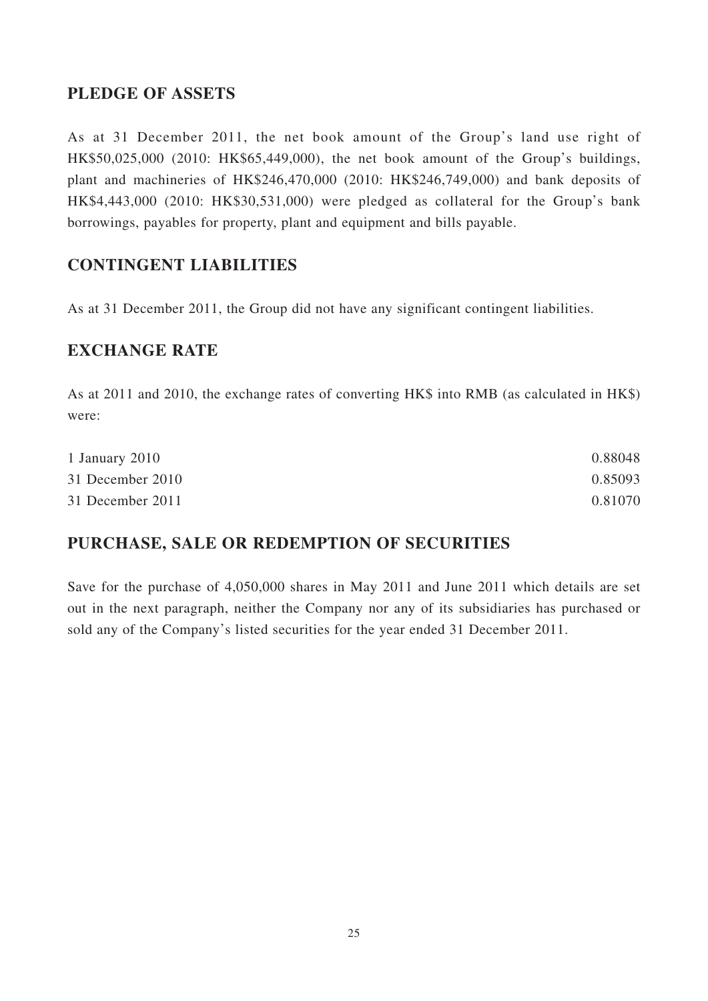## **PLEDGE OF ASSETS**

As at 31 December 2011, the net book amount of the Group's land use right of HK\$50,025,000 (2010: HK\$65,449,000), the net book amount of the Group's buildings, plant and machineries of HK\$246,470,000 (2010: HK\$246,749,000) and bank deposits of HK\$4,443,000 (2010: HK\$30,531,000) were pledged as collateral for the Group's bank borrowings, payables for property, plant and equipment and bills payable.

## **CONTINGENT LIABILITIES**

As at 31 December 2011, the Group did not have any significant contingent liabilities.

## **EXCHANGE RATE**

As at 2011 and 2010, the exchange rates of converting HK\$ into RMB (as calculated in HK\$) were:

| 1 January 2010   | 0.88048 |
|------------------|---------|
| 31 December 2010 | 0.85093 |
| 31 December 2011 | 0.81070 |

## **PURCHASE, SALE OR REDEMPTION OF SECURITIES**

Save for the purchase of 4,050,000 shares in May 2011 and June 2011 which details are set out in the next paragraph, neither the Company nor any of its subsidiaries has purchased or sold any of the Company's listed securities for the year ended 31 December 2011.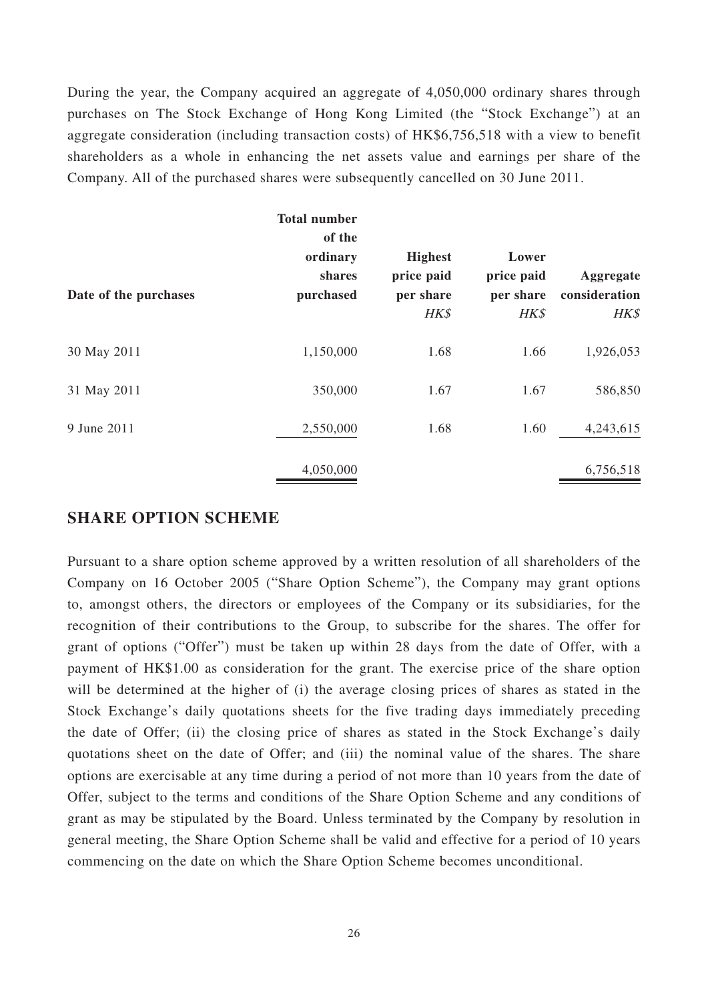During the year, the Company acquired an aggregate of 4,050,000 ordinary shares through purchases on The Stock Exchange of Hong Kong Limited (the "Stock Exchange") at an aggregate consideration (including transaction costs) of HK\$6,756,518 with a view to benefit shareholders as a whole in enhancing the net assets value and earnings per share of the Company. All of the purchased shares were subsequently cancelled on 30 June 2011.

|                       | <b>Total number</b><br>of the   |                                                   |                                          |                                    |
|-----------------------|---------------------------------|---------------------------------------------------|------------------------------------------|------------------------------------|
| Date of the purchases | ordinary<br>shares<br>purchased | <b>Highest</b><br>price paid<br>per share<br>HK\$ | Lower<br>price paid<br>per share<br>HK\$ | Aggregate<br>consideration<br>HK\$ |
| 30 May 2011           | 1,150,000                       | 1.68                                              | 1.66                                     | 1,926,053                          |
| 31 May 2011           | 350,000                         | 1.67                                              | 1.67                                     | 586,850                            |
| 9 June 2011           | 2,550,000                       | 1.68                                              | 1.60                                     | 4,243,615                          |
|                       | 4,050,000                       |                                                   |                                          | 6,756,518                          |

### **SHARE OPTION SCHEME**

Pursuant to a share option scheme approved by a written resolution of all shareholders of the Company on 16 October 2005 ("Share Option Scheme"), the Company may grant options to, amongst others, the directors or employees of the Company or its subsidiaries, for the recognition of their contributions to the Group, to subscribe for the shares. The offer for grant of options ("Offer") must be taken up within 28 days from the date of Offer, with a payment of HK\$1.00 as consideration for the grant. The exercise price of the share option will be determined at the higher of (i) the average closing prices of shares as stated in the Stock Exchange's daily quotations sheets for the five trading days immediately preceding the date of Offer; (ii) the closing price of shares as stated in the Stock Exchange's daily quotations sheet on the date of Offer; and (iii) the nominal value of the shares. The share options are exercisable at any time during a period of not more than 10 years from the date of Offer, subject to the terms and conditions of the Share Option Scheme and any conditions of grant as may be stipulated by the Board. Unless terminated by the Company by resolution in general meeting, the Share Option Scheme shall be valid and effective for a period of 10 years commencing on the date on which the Share Option Scheme becomes unconditional.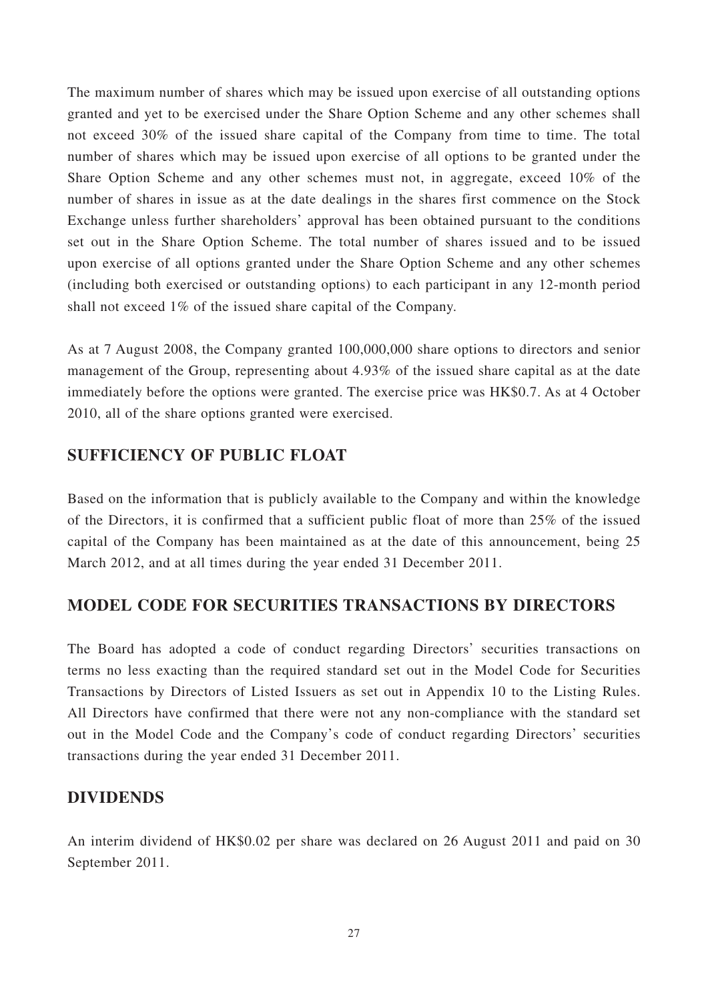The maximum number of shares which may be issued upon exercise of all outstanding options granted and yet to be exercised under the Share Option Scheme and any other schemes shall not exceed 30% of the issued share capital of the Company from time to time. The total number of shares which may be issued upon exercise of all options to be granted under the Share Option Scheme and any other schemes must not, in aggregate, exceed 10% of the number of shares in issue as at the date dealings in the shares first commence on the Stock Exchange unless further shareholders' approval has been obtained pursuant to the conditions set out in the Share Option Scheme. The total number of shares issued and to be issued upon exercise of all options granted under the Share Option Scheme and any other schemes (including both exercised or outstanding options) to each participant in any 12-month period shall not exceed 1% of the issued share capital of the Company.

As at 7 August 2008, the Company granted 100,000,000 share options to directors and senior management of the Group, representing about 4.93% of the issued share capital as at the date immediately before the options were granted. The exercise price was HK\$0.7. As at 4 October 2010, all of the share options granted were exercised.

## **SUFFICIENCY OF PUBLIC FLOAT**

Based on the information that is publicly available to the Company and within the knowledge of the Directors, it is confirmed that a sufficient public float of more than 25% of the issued capital of the Company has been maintained as at the date of this announcement, being 25 March 2012, and at all times during the year ended 31 December 2011.

## **MODEL CODE FOR SECURITIES TRANSACTIONS BY DIRECTORS**

The Board has adopted a code of conduct regarding Directors' securities transactions on terms no less exacting than the required standard set out in the Model Code for Securities Transactions by Directors of Listed Issuers as set out in Appendix 10 to the Listing Rules. All Directors have confirmed that there were not any non-compliance with the standard set out in the Model Code and the Company's code of conduct regarding Directors' securities transactions during the year ended 31 December 2011.

### **DIVIDENDS**

An interim dividend of HK\$0.02 per share was declared on 26 August 2011 and paid on 30 September 2011.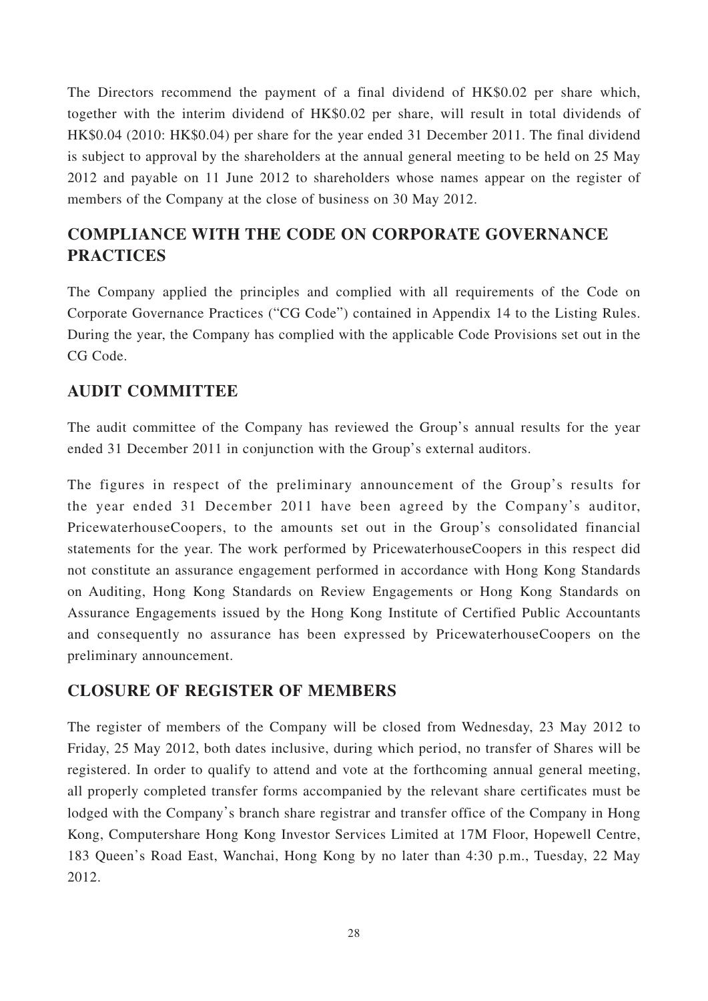The Directors recommend the payment of a final dividend of HK\$0.02 per share which, together with the interim dividend of HK\$0.02 per share, will result in total dividends of HK\$0.04 (2010: HK\$0.04) per share for the year ended 31 December 2011. The final dividend is subject to approval by the shareholders at the annual general meeting to be held on 25 May 2012 and payable on 11 June 2012 to shareholders whose names appear on the register of members of the Company at the close of business on 30 May 2012.

## **COMPLIANCE WITH THE CODE ON CORPORATE GOVERNANCE PRACTICES**

The Company applied the principles and complied with all requirements of the Code on Corporate Governance Practices ("CG Code") contained in Appendix 14 to the Listing Rules. During the year, the Company has complied with the applicable Code Provisions set out in the CG Code.

## **AUDIT COMMITTEE**

The audit committee of the Company has reviewed the Group's annual results for the year ended 31 December 2011 in conjunction with the Group's external auditors.

The figures in respect of the preliminary announcement of the Group's results for the year ended 31 December 2011 have been agreed by the Company's auditor, PricewaterhouseCoopers, to the amounts set out in the Group's consolidated financial statements for the year. The work performed by PricewaterhouseCoopers in this respect did not constitute an assurance engagement performed in accordance with Hong Kong Standards on Auditing, Hong Kong Standards on Review Engagements or Hong Kong Standards on Assurance Engagements issued by the Hong Kong Institute of Certified Public Accountants and consequently no assurance has been expressed by PricewaterhouseCoopers on the preliminary announcement.

## **CLOSURE OF REGISTER OF MEMBERS**

The register of members of the Company will be closed from Wednesday, 23 May 2012 to Friday, 25 May 2012, both dates inclusive, during which period, no transfer of Shares will be registered. In order to qualify to attend and vote at the forthcoming annual general meeting, all properly completed transfer forms accompanied by the relevant share certificates must be lodged with the Company's branch share registrar and transfer office of the Company in Hong Kong, Computershare Hong Kong Investor Services Limited at 17M Floor, Hopewell Centre, 183 Queen's Road East, Wanchai, Hong Kong by no later than 4:30 p.m., Tuesday, 22 May 2012.